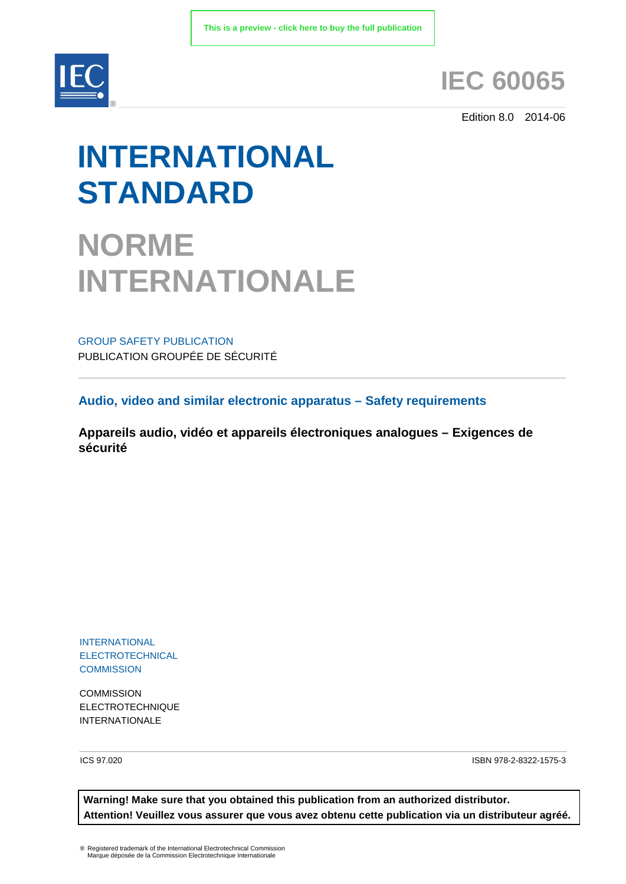

# **IEC 60065**

Edition 8.0 2014-06

# **INTERNATIONAL STANDARD**

# **NORME INTERNATIONALE**

GROUP SAFETY PUBLICATION PUBLICATION GROUPÉE DE SÉCURITÉ

**Audio, video and similar electronic apparatus – Safety requirements**

**Appareils audio, vidéo et appareils électroniques analogues – Exigences de sécurité**

INTERNATIONAL ELECTROTECHNICAL **COMMISSION** 

**COMMISSION** ELECTROTECHNIQUE **INTERNATIONALE** 

ICS 97.020

ISBN 978-2-8322-1575-3

**Warning! Make sure that you obtained this publication from an authorized distributor. Attention! Veuillez vous assurer que vous avez obtenu cette publication via un distributeur agréé.**

® Registered trademark of the International Electrotechnical Commission Marque déposée de la Commission Electrotechnique Internationale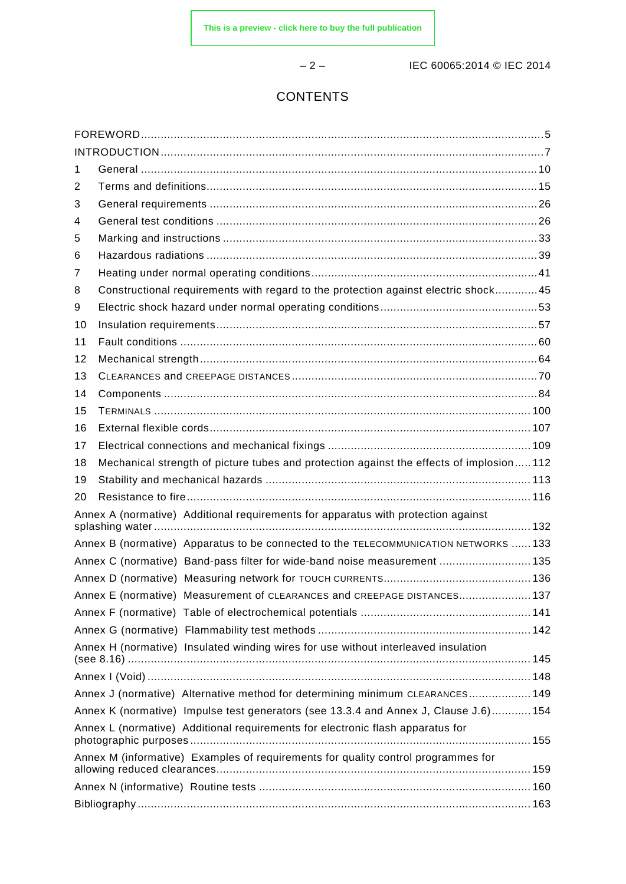– 2 – IEC 60065:2014 © IEC 2014

# **CONTENTS**

| 1  |                                                                                         |  |
|----|-----------------------------------------------------------------------------------------|--|
| 2  |                                                                                         |  |
| 3  |                                                                                         |  |
| 4  |                                                                                         |  |
| 5  |                                                                                         |  |
| 6  |                                                                                         |  |
| 7  |                                                                                         |  |
| 8  | Constructional requirements with regard to the protection against electric shock45      |  |
| 9  |                                                                                         |  |
| 10 |                                                                                         |  |
| 11 |                                                                                         |  |
| 12 |                                                                                         |  |
| 13 |                                                                                         |  |
| 14 |                                                                                         |  |
| 15 |                                                                                         |  |
| 16 |                                                                                         |  |
| 17 |                                                                                         |  |
| 18 | Mechanical strength of picture tubes and protection against the effects of implosion112 |  |
| 19 |                                                                                         |  |
| 20 |                                                                                         |  |
|    | Annex A (normative) Additional requirements for apparatus with protection against       |  |
|    | Annex B (normative) Apparatus to be connected to the TELECOMMUNICATION NETWORKS  133    |  |
|    | Annex C (normative) Band-pass filter for wide-band noise measurement  135               |  |
|    |                                                                                         |  |
|    | Annex E (normative) Measurement of CLEARANCES and CREEPAGE DISTANCES 137                |  |
|    |                                                                                         |  |
|    |                                                                                         |  |
|    | Annex H (normative) Insulated winding wires for use without interleaved insulation      |  |
|    |                                                                                         |  |
|    | Annex J (normative) Alternative method for determining minimum CLEARANCES 149           |  |
|    | Annex K (normative) Impulse test generators (see 13.3.4 and Annex J, Clause J.6) 154    |  |
|    | Annex L (normative) Additional requirements for electronic flash apparatus for          |  |
|    | Annex M (informative) Examples of requirements for quality control programmes for       |  |
|    |                                                                                         |  |
|    |                                                                                         |  |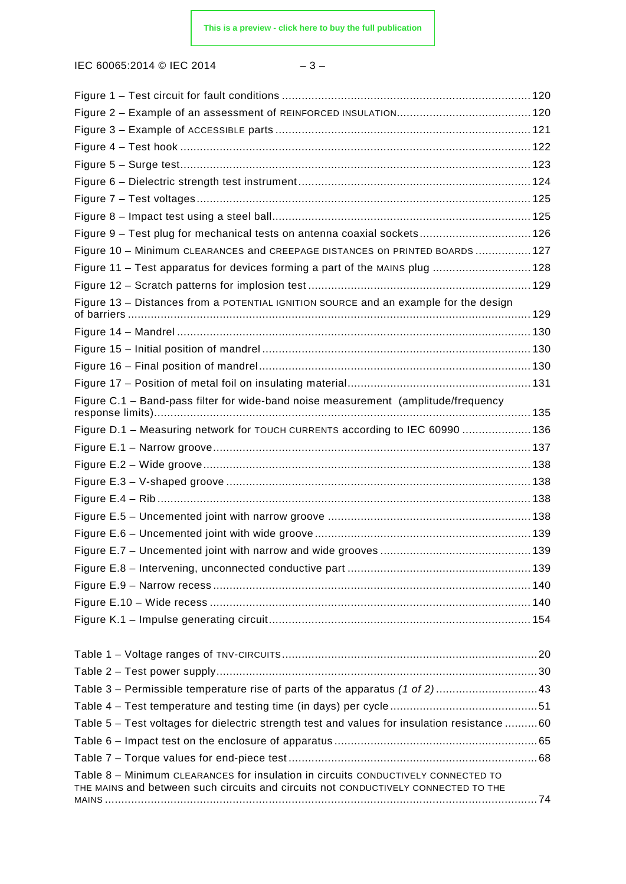IEC 60065:2014 © IEC 2014 –

|  | ×<br>۰.<br>v<br>× |  |
|--|-------------------|--|
|--|-------------------|--|

| Figure 9 - Test plug for mechanical tests on antenna coaxial sockets 126                                                                                                |  |
|-------------------------------------------------------------------------------------------------------------------------------------------------------------------------|--|
| Figure 10 - Minimum CLEARANCES and CREEPAGE DISTANCES on PRINTED BOARDS  127                                                                                            |  |
| Figure 11 - Test apparatus for devices forming a part of the MAINS plug  128                                                                                            |  |
|                                                                                                                                                                         |  |
| Figure 13 - Distances from a POTENTIAL IGNITION SOURCE and an example for the design                                                                                    |  |
|                                                                                                                                                                         |  |
|                                                                                                                                                                         |  |
|                                                                                                                                                                         |  |
|                                                                                                                                                                         |  |
| Figure C.1 - Band-pass filter for wide-band noise measurement (amplitude/frequency                                                                                      |  |
| Figure D.1 - Measuring network for TOUCH CURRENTS according to IEC 60990  136                                                                                           |  |
|                                                                                                                                                                         |  |
|                                                                                                                                                                         |  |
|                                                                                                                                                                         |  |
|                                                                                                                                                                         |  |
|                                                                                                                                                                         |  |
|                                                                                                                                                                         |  |
|                                                                                                                                                                         |  |
|                                                                                                                                                                         |  |
|                                                                                                                                                                         |  |
|                                                                                                                                                                         |  |
|                                                                                                                                                                         |  |
|                                                                                                                                                                         |  |
|                                                                                                                                                                         |  |
| Table 3 – Permissible temperature rise of parts of the apparatus (1 of 2) 43                                                                                            |  |
|                                                                                                                                                                         |  |
| Table 5 - Test voltages for dielectric strength test and values for insulation resistance  60                                                                           |  |
|                                                                                                                                                                         |  |
|                                                                                                                                                                         |  |
| Table 8 - Minimum CLEARANCES for insulation in circuits CONDUCTIVELY CONNECTED TO<br>THE MAINS and between such circuits and circuits not CONDUCTIVELY CONNECTED TO THE |  |
|                                                                                                                                                                         |  |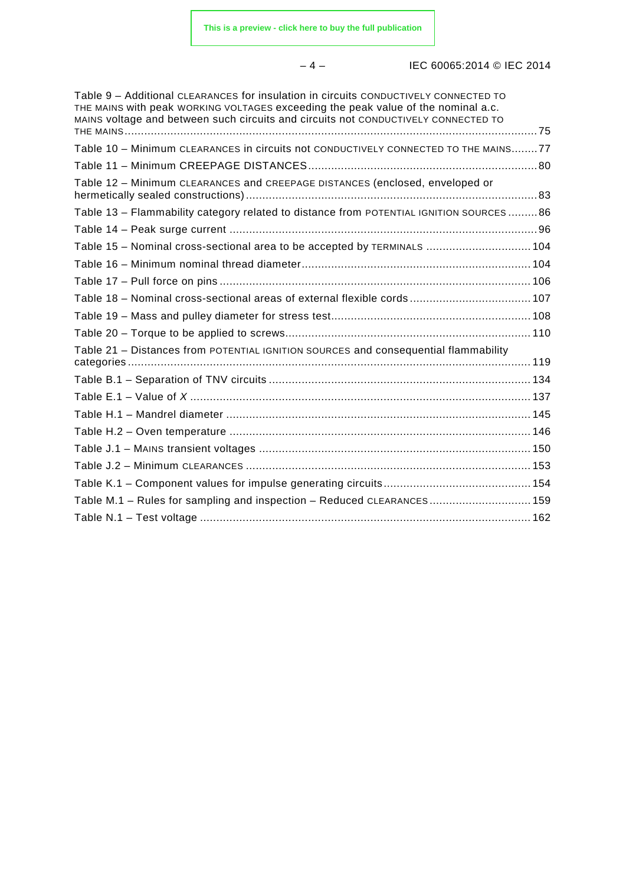– 4 – IEC 60065:2014 © IEC 2014

| Table 9 - Additional CLEARANCES for insulation in circuits CONDUCTIVELY CONNECTED TO<br>THE MAINS with peak WORKING VOLTAGES exceeding the peak value of the nominal a.c.<br>MAINS voltage and between such circuits and circuits not CONDUCTIVELY CONNECTED TO |  |
|-----------------------------------------------------------------------------------------------------------------------------------------------------------------------------------------------------------------------------------------------------------------|--|
|                                                                                                                                                                                                                                                                 |  |
| Table 10 - Minimum CLEARANCES in circuits not CONDUCTIVELY CONNECTED TO THE MAINS77                                                                                                                                                                             |  |
|                                                                                                                                                                                                                                                                 |  |
| Table 12 - Minimum CLEARANCES and CREEPAGE DISTANCES (enclosed, enveloped or                                                                                                                                                                                    |  |
| Table 13 - Flammability category related to distance from POTENTIAL IGNITION SOURCES86                                                                                                                                                                          |  |
|                                                                                                                                                                                                                                                                 |  |
| Table 15 - Nominal cross-sectional area to be accepted by TERMINALS  104                                                                                                                                                                                        |  |
|                                                                                                                                                                                                                                                                 |  |
|                                                                                                                                                                                                                                                                 |  |
| Table 18 - Nominal cross-sectional areas of external flexible cords 107                                                                                                                                                                                         |  |
|                                                                                                                                                                                                                                                                 |  |
|                                                                                                                                                                                                                                                                 |  |
| Table 21 - Distances from POTENTIAL IGNITION SOURCES and consequential flammability                                                                                                                                                                             |  |
|                                                                                                                                                                                                                                                                 |  |
|                                                                                                                                                                                                                                                                 |  |
|                                                                                                                                                                                                                                                                 |  |
|                                                                                                                                                                                                                                                                 |  |
|                                                                                                                                                                                                                                                                 |  |
|                                                                                                                                                                                                                                                                 |  |
|                                                                                                                                                                                                                                                                 |  |
| Table M.1 - Rules for sampling and inspection - Reduced CLEARANCES 159                                                                                                                                                                                          |  |
|                                                                                                                                                                                                                                                                 |  |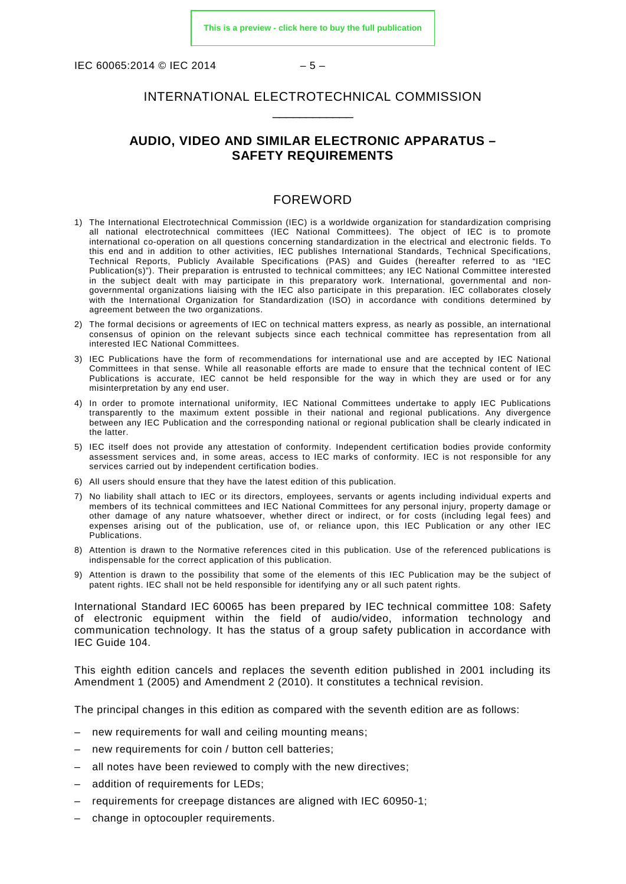IEC 60065:2014 © IEC 2014 – 5 –

# INTERNATIONAL ELECTROTECHNICAL COMMISSION  $\overline{\phantom{a}}$

# **AUDIO, VIDEO AND SIMILAR ELECTRONIC APPARATUS – SAFETY REQUIREMENTS**

# FOREWORD

- <span id="page-4-0"></span>1) The International Electrotechnical Commission (IEC) is a worldwide organization for standardization comprising all national electrotechnical committees (IEC National Committees). The object of IEC is to promote international co-operation on all questions concerning standardization in the electrical and electronic fields. To this end and in addition to other activities, IEC publishes International Standards, Technical Specifications, Technical Reports, Publicly Available Specifications (PAS) and Guides (hereafter referred to as "IEC Publication(s)"). Their preparation is entrusted to technical committees; any IEC National Committee interested in the subject dealt with may participate in this preparatory work. International, governmental and nongovernmental organizations liaising with the IEC also participate in this preparation. IEC collaborates closely with the International Organization for Standardization (ISO) in accordance with conditions determined by agreement between the two organizations.
- 2) The formal decisions or agreements of IEC on technical matters express, as nearly as possible, an international consensus of opinion on the relevant subjects since each technical committee has representation from all interested IEC National Committees.
- 3) IEC Publications have the form of recommendations for international use and are accepted by IEC National Committees in that sense. While all reasonable efforts are made to ensure that the technical content of IEC Publications is accurate, IEC cannot be held responsible for the way in which they are used or for any misinterpretation by any end user.
- 4) In order to promote international uniformity, IEC National Committees undertake to apply IEC Publications transparently to the maximum extent possible in their national and regional publications. Any divergence between any IEC Publication and the corresponding national or regional publication shall be clearly indicated in the latter.
- 5) IEC itself does not provide any attestation of conformity. Independent certification bodies provide conformity assessment services and, in some areas, access to IEC marks of conformity. IEC is not responsible for any services carried out by independent certification bodies.
- 6) All users should ensure that they have the latest edition of this publication.
- 7) No liability shall attach to IEC or its directors, employees, servants or agents including individual experts and members of its technical committees and IEC National Committees for any personal injury, property damage or other damage of any nature whatsoever, whether direct or indirect, or for costs (including legal fees) and expenses arising out of the publication, use of, or reliance upon, this IEC Publication or any other IEC Publications.
- 8) Attention is drawn to the Normative references cited in this publication. Use of the referenced publications is indispensable for the correct application of this publication.
- 9) Attention is drawn to the possibility that some of the elements of this IEC Publication may be the subject of patent rights. IEC shall not be held responsible for identifying any or all such patent rights.

International Standard IEC 60065 has been prepared by IEC technical committee 108: Safety of electronic equipment within the field of audio/video, information technology and communication technology. It has the status of a group safety publication in accordance with IEC Guide 104.

This eighth edition cancels and replaces the seventh edition published in 2001 including its Amendment 1 (2005) and Amendment 2 (2010). It constitutes a technical revision.

The principal changes in this edition as compared with the seventh edition are as follows:

- new requirements for wall and ceiling mounting means;
- new requirements for coin / button cell batteries;
- all notes have been reviewed to comply with the new directives;
- addition of requirements for LEDs;
- requirements for creepage distances are aligned with IEC 60950-1;
- change in optocoupler requirements.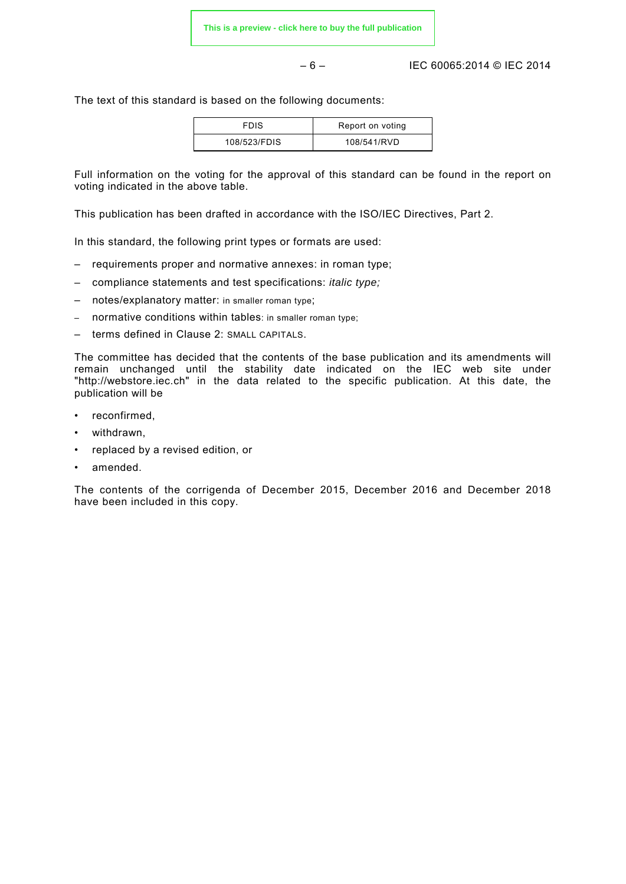– 6 – IEC 60065:2014 © IEC 2014

The text of this standard is based on the following documents:

| <b>FDIS</b>  | Report on voting |
|--------------|------------------|
| 108/523/FDIS | 108/541/RVD      |

Full information on the voting for the approval of this standard can be found in the report on voting indicated in the above table.

This publication has been drafted in accordance with the ISO/IEC Directives, Part 2.

In this standard, the following print types or formats are used:

- requirements proper and normative annexes: in roman type;
- compliance statements and test specifications: *italic type;*
- notes/explanatory matter: in smaller roman type;
- normative conditions within tables: in smaller roman type;
- terms defined in Clause 2: SMALL CAPITALS.

The committee has decided that the contents of the base publication and its amendments will remain unchanged until the stability date indicated on the IEC web site under "http://webstore.iec.ch" in the data related to the specific publication. At this date, the publication will be

- reconfirmed,
- withdrawn,
- replaced by a revised edition, or
- amended.

The contents of the corrigenda of December 2015, December 2016 and December 2018 have been included in this copy.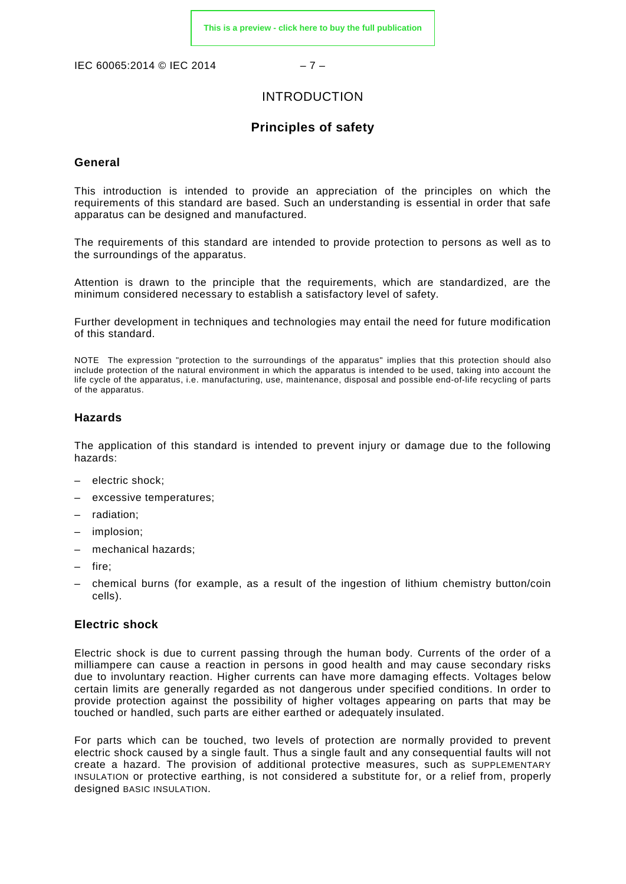<span id="page-6-0"></span>IEC 60065:2014 © IEC 2014 –  $7 -$ 

# INTRODUCTION

# **Principles of safety**

### **General**

This introduction is intended to provide an appreciation of the principles on which the requirements of this standard are based. Such an understanding is essential in order that safe apparatus can be designed and manufactured.

The requirements of this standard are intended to provide protection to persons as well as to the surroundings of the apparatus.

Attention is drawn to the principle that the requirements, which are standardized, are the minimum considered necessary to establish a satisfactory level of safety.

Further development in techniques and technologies may entail the need for future modification of this standard.

NOTE The expression "protection to the surroundings of the apparatus" implies that this protection should also include protection of the natural environment in which the apparatus is intended to be used, taking into account the life cycle of the apparatus, i.e. manufacturing, use, maintenance, disposal and possible end-of-life recycling of parts of the apparatus.

# **Hazards**

The application of this standard is intended to prevent injury or damage due to the following hazards:

- electric shock;
- excessive temperatures;
- radiation;
- implosion;
- mechanical hazards;
- fire:
- chemical burns (for example, as a result of the ingestion of lithium chemistry button/coin cells).

### **Electric shock**

Electric shock is due to current passing through the human body. Currents of the order of a milliampere can cause a reaction in persons in good health and may cause secondary risks due to involuntary reaction. Higher currents can have more damaging effects. Voltages below certain limits are generally regarded as not dangerous under specified conditions. In order to provide protection against the possibility of higher voltages appearing on parts that may be touched or handled, such parts are either earthed or adequately insulated.

For parts which can be touched, two levels of protection are normally provided to prevent electric shock caused by a single fault. Thus a single fault and any consequential faults will not create a hazard. The provision of additional protective measures, such as SUPPLEMENTARY INSULATION or protective earthing, is not considered a substitute for, or a relief from, properly designed BASIC INSULATION.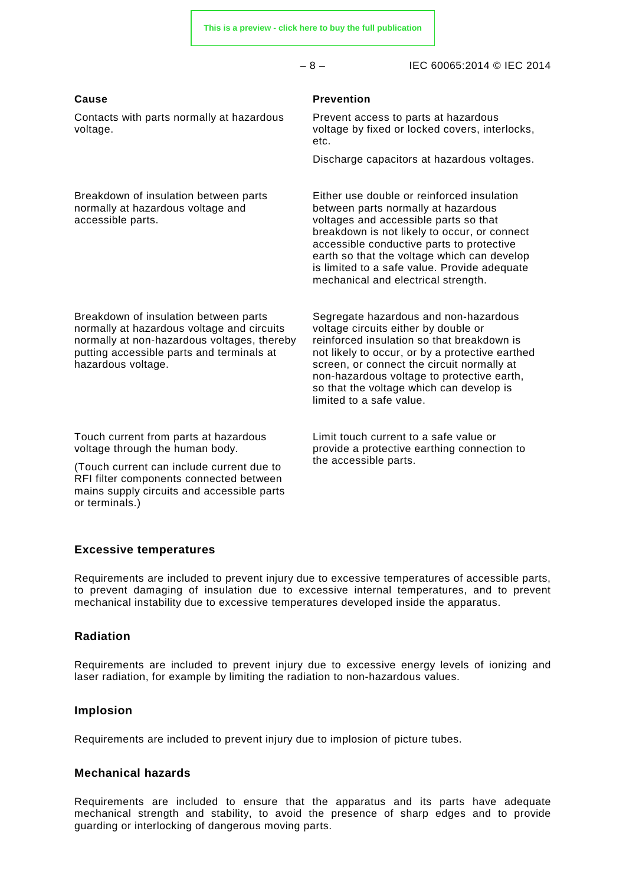etc.

– 8 – IEC 60065:2014 © IEC 2014

#### **Cause Prevention**

Contacts with parts normally at hazardous voltage.

Breakdown of insulation between parts normally at hazardous voltage and accessible parts.

Breakdown of insulation between parts normally at hazardous voltage and circuits normally at non-hazardous voltages, thereby putting accessible parts and terminals at hazardous voltage.

Segregate hazardous and non-hazardous voltage circuits either by double or reinforced insulation so that breakdown is not likely to occur, or by a protective earthed screen, or connect the circuit normally at non-hazardous voltage to protective earth, so that the voltage which can develop is limited to a safe value.

Prevent access to parts at hazardous voltage by fixed or locked covers, interlocks,

Discharge capacitors at hazardous voltages.

Either use double or reinforced insulation between parts normally at hazardous voltages and accessible parts so that breakdown is not likely to occur, or connect accessible conductive parts to protective earth so that the voltage which can develop is limited to a safe value. Provide adequate

mechanical and electrical strength.

Touch current from parts at hazardous voltage through the human body.

(Touch current can include current due to RFI filter components connected between mains supply circuits and accessible parts or terminals.)

Limit touch current to a safe value or provide a protective earthing connection to the accessible parts.

# **Excessive temperatures**

Requirements are included to prevent injury due to excessive temperatures of accessible parts, to prevent damaging of insulation due to excessive internal temperatures, and to prevent mechanical instability due to excessive temperatures developed inside the apparatus.

# **Radiation**

Requirements are included to prevent injury due to excessive energy levels of ionizing and laser radiation, for example by limiting the radiation to non-hazardous values.

## **Implosion**

Requirements are included to prevent injury due to implosion of picture tubes.

## **Mechanical hazards**

Requirements are included to ensure that the apparatus and its parts have adequate mechanical strength and stability, to avoid the presence of sharp edges and to provide guarding or interlocking of dangerous moving parts.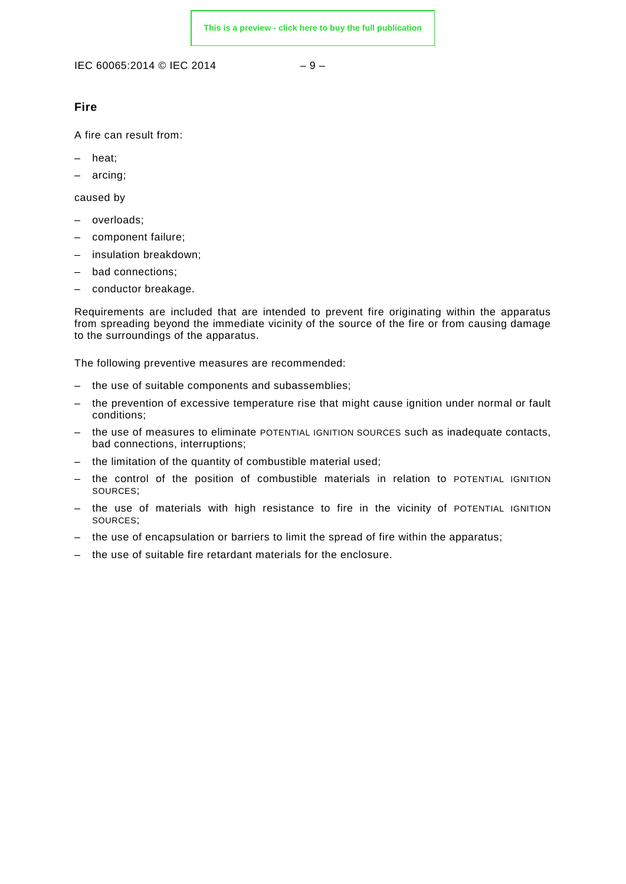IEC 60065:2014 © IEC 2014 – 9 –

# **Fire**

A fire can result from:

- heat;
- arcing;

caused by

- overloads;
- component failure;
- insulation breakdown;
- bad connections;
- conductor breakage.

Requirements are included that are intended to prevent fire originating within the apparatus from spreading beyond the immediate vicinity of the source of the fire or from causing damage to the surroundings of the apparatus.

The following preventive measures are recommended:

- the use of suitable components and subassemblies;
- the prevention of excessive temperature rise that might cause ignition under normal or fault conditions;
- the use of measures to eliminate POTENTIAL IGNITION SOURCES such as inadequate contacts, bad connections, interruptions;
- the limitation of the quantity of combustible material used;
- the control of the position of combustible materials in relation to POTENTIAL IGNITION SOURCES;
- the use of materials with high resistance to fire in the vicinity of POTENTIAL IGNITION SOURCES;
- the use of encapsulation or barriers to limit the spread of fire within the apparatus;
- the use of suitable fire retardant materials for the enclosure.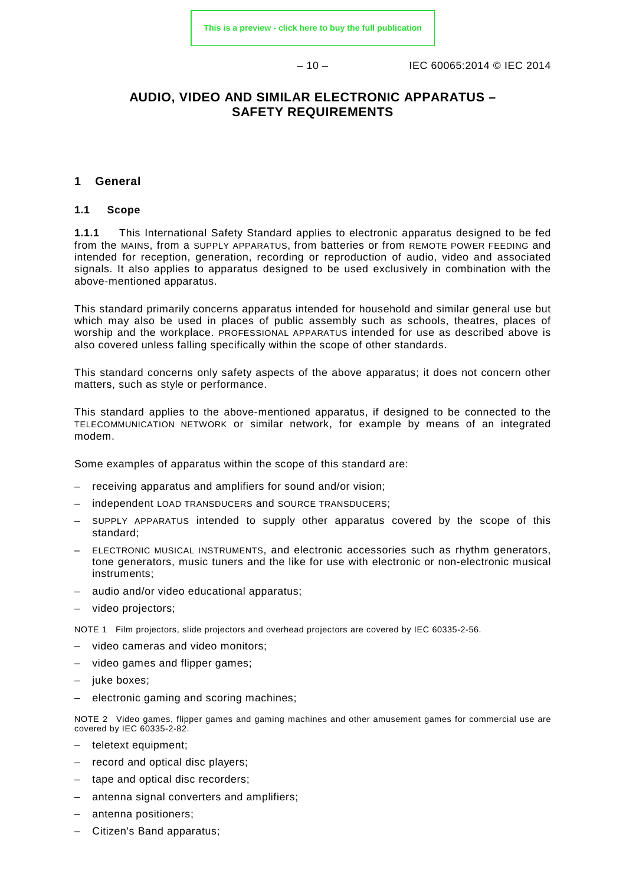$-10 - 10 - 10 = 15$  IEC 60065:2014 © IEC 2014

# **AUDIO, VIDEO AND SIMILAR ELECTRONIC APPARATUS – SAFETY REQUIREMENTS**

# <span id="page-9-0"></span>**1 General**

#### **1.1 Scope**

**1.1.1** This International Safety Standard applies to electronic apparatus designed to be fed from the MAINS, from a SUPPLY APPARATUS, from batteries or from REMOTE POWER FEEDING and intended for reception, generation, recording or reproduction of audio, video and associated signals. It also applies to apparatus designed to be used exclusively in combination with the above-mentioned apparatus.

This standard primarily concerns apparatus intended for household and similar general use but which may also be used in places of public assembly such as schools, theatres, places of worship and the workplace. PROFESSIONAL APPARATUS intended for use as described above is also covered unless falling specifically within the scope of other standards.

This standard concerns only safety aspects of the above apparatus; it does not concern other matters, such as style or performance.

This standard applies to the above-mentioned apparatus, if designed to be connected to the TELECOMMUNICATION NETWORK or similar network, for example by means of an integrated modem.

Some examples of apparatus within the scope of this standard are:

- receiving apparatus and amplifiers for sound and/or vision;
- independent LOAD TRANSDUCERS and SOURCE TRANSDUCERS;
- SUPPLY APPARATUS intended to supply other apparatus covered by the scope of this standard;
- ELECTRONIC MUSICAL INSTRUMENTS, and electronic accessories such as rhythm generators, tone generators, music tuners and the like for use with electronic or non-electronic musical instruments;
- audio and/or video educational apparatus;
- video projectors;

NOTE 1 Film projectors, slide projectors and overhead projectors are covered by IEC 60335-2-56.

- video cameras and video monitors;
- video games and flipper games;
- juke boxes;
- electronic gaming and scoring machines;

NOTE 2 Video games, flipper games and gaming machines and other amusement games for commercial use are covered by IEC 60335-2-82.

- teletext equipment;
- record and optical disc players;
- tape and optical disc recorders;
- antenna signal converters and amplifiers;
- antenna positioners;
- Citizen's Band apparatus;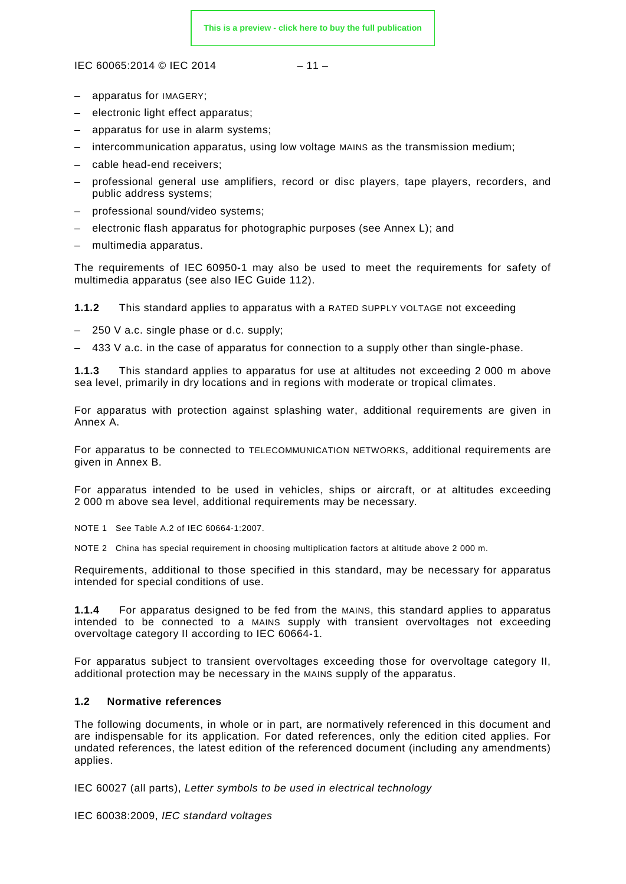IEC 60065:2014 © IEC 2014 – 11 –

- apparatus for IMAGERY;
- electronic light effect apparatus;
- apparatus for use in alarm systems;
- intercommunication apparatus, using low voltage MAINS as the transmission medium;
- cable head-end receivers;
- professional general use amplifiers, record or disc players, tape players, recorders, and public address systems;
- professional sound/video systems;
- electronic flash apparatus for photographic purposes (see Annex L); and
- multimedia apparatus.

The requirements of IEC 60950-1 may also be used to meet the requirements for safety of multimedia apparatus (see also IEC Guide 112).

**1.1.2** This standard applies to apparatus with a RATED SUPPLY VOLTAGE not exceeding

- 250 V a.c. single phase or d.c. supply;
- 433 V a.c. in the case of apparatus for connection to a supply other than single-phase.

**1.1.3** This standard applies to apparatus for use at altitudes not exceeding 2 000 m above sea level, primarily in dry locations and in regions with moderate or tropical climates.

For apparatus with protection against splashing water, additional requirements are given in Annex A.

For apparatus to be connected to TELECOMMUNICATION NETWORKS, additional requirements are given in Annex B.

For apparatus intended to be used in vehicles, ships or aircraft, or at altitudes exceeding 2 000 m above sea level, additional requirements may be necessary.

NOTE 1 See Table A.2 of IEC 60664-1:2007.

NOTE 2 China has special requirement in choosing multiplication factors at altitude above 2 000 m.

Requirements, additional to those specified in this standard, may be necessary for apparatus intended for special conditions of use.

**1.1.4** For apparatus designed to be fed from the MAINS, this standard applies to apparatus intended to be connected to a MAINS supply with transient overvoltages not exceeding overvoltage category II according to IEC 60664-1.

For apparatus subject to transient overvoltages exceeding those for overvoltage category II, additional protection may be necessary in the MAINS supply of the apparatus.

#### **1.2 Normative references**

The following documents, in whole or in part, are normatively referenced in this document and are indispensable for its application. For dated references, only the edition cited applies. For undated references, the latest edition of the referenced document (including any amendments) applies.

IEC 60027 (all parts), *Letter symbols to be used in electrical technology*

IEC 60038:2009, *IEC standard voltages*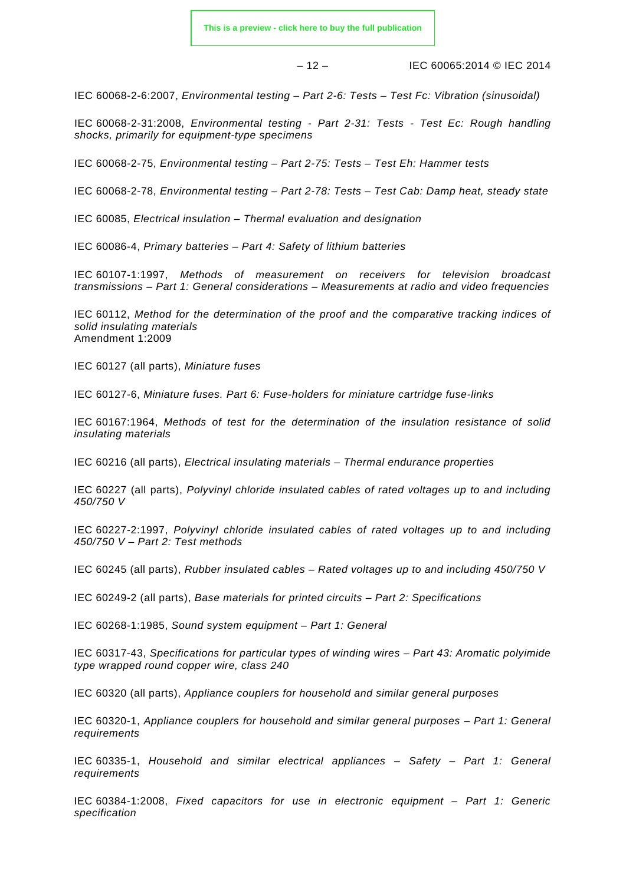– 12 – IEC 60065:2014 © IEC 2014

IEC 60068-2-6:2007, *Environmental testing – Part 2-6: Tests – Test Fc: Vibration (sinusoidal)*

IEC 60068-2-31:2008, *Environmental testing - Part 2-31: Tests - Test Ec: Rough handling shocks, primarily for equipment-type specimens*

IEC 60068-2-75, *Environmental testing – Part 2-75: Tests – Test Eh: Hammer tests*

IEC 60068-2-78, *Environmental testing – Part 2-78: Tests – Test Cab: Damp heat, steady state*

IEC 60085, *Electrical insulation – Thermal evaluation and designation*

IEC 60086-4, *Primary batteries – Part 4: Safety of lithium batteries*

IEC 60107-1:1997, *Methods of measurement on receivers for television broadcast transmissions – Part 1: General considerations – Measurements at radio and video frequencies*

IEC 60112, *Method for the determination of the proof and the comparative tracking indices of solid insulating materials*  Amendment 1:2009

IEC 60127 (all parts), *Miniature fuses*

IEC 60127-6, *Miniature fuses. Part 6: Fuse-holders for miniature cartridge fuse-links*

IEC 60167:1964, *Methods of test for the determination of the insulation resistance of solid insulating materials*

IEC 60216 (all parts), *Electrical insulating materials – Thermal endurance properties*

IEC 60227 (all parts), *Polyvinyl chloride insulated cables of rated voltages up to and including 450/750 V* 

IEC 60227-2:1997, *Polyvinyl chloride insulated cables of rated voltages up to and including 450/750 V – Part 2: Test methods*

IEC 60245 (all parts), *Rubber insulated cables – Rated voltages up to and including 450/750 V* 

IEC 60249-2 (all parts), *Base materials for printed circuits – Part 2: Specifications* 

IEC 60268-1:1985, *Sound system equipment – Part 1: General*

IEC 60317-43, *Specifications for particular types of winding wires – Part 43: Aromatic polyimide type wrapped round copper wire, class 240*

IEC 60320 (all parts), *Appliance couplers for household and similar general purposes*

IEC 60320-1, *Appliance couplers for household and similar general purposes – Part 1: General requirements*

IEC 60335-1, *Household and similar electrical appliances – Safety – Part 1: General requirements*

IEC 60384-1:2008, *Fixed capacitors for use in electronic equipment – Part 1: Generic specification*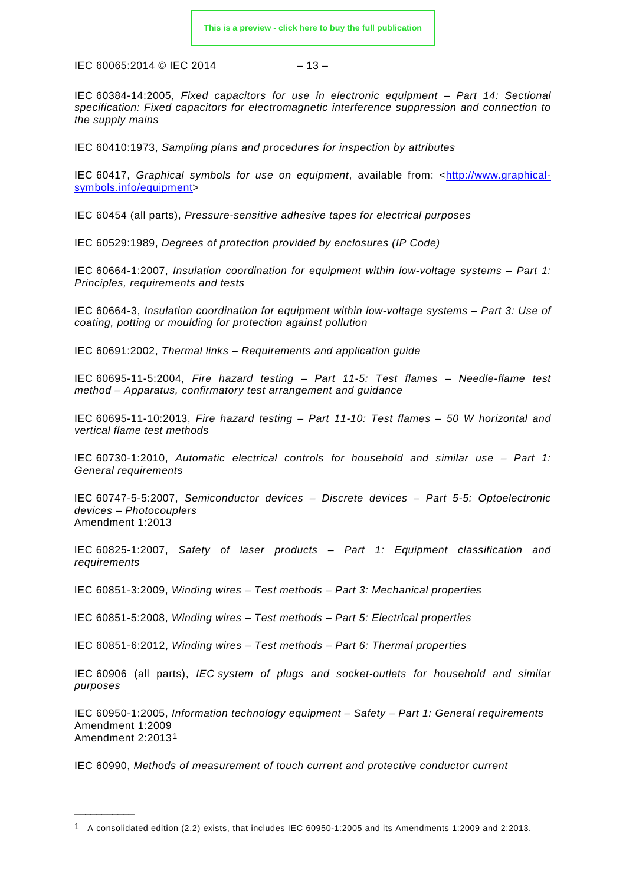IEC 60065:2014 © IEC 2014

 $\overline{\phantom{a}}$ 

$$
-13 -
$$

IEC 60384-14:2005, *Fixed capacitors for use in electronic equipment – Part 14: Sectional specification: Fixed capacitors for electromagnetic interference suppression and connection to the supply mains*

IEC 60410:1973, *Sampling plans and procedures for inspection by attributes*

IEC 60417, *Graphical symbols for use on equipment*, available from: [<http://www.graphical](http://www.graphical-symbols.info/equipment)[symbols.info/equipment>](http://www.graphical-symbols.info/equipment)

IEC 60454 (all parts), *Pressure-sensitive adhesive tapes for electrical purposes*

IEC 60529:1989, *Degrees of protection provided by enclosures (IP Code)*

IEC 60664-1:2007, *Insulation coordination for equipment within low-voltage systems – Part 1: Principles, requirements and tests*

IEC 60664-3, *Insulation coordination for equipment within low-voltage systems – Part 3: Use of coating, potting or moulding for protection against pollution* 

IEC 60691:2002, *Thermal links – Requirements and application guide*

IEC 60695-11-5:2004, *Fire hazard testing – Part 11-5: Test flames – Needle-flame test method – Apparatus, confirmatory test arrangement and guidance*

IEC 60695-11-10:2013, *Fire hazard testing – Part 11-10: Test flames – 50 W horizontal and vertical flame test methods* 

IEC 60730-1:2010, *Automatic electrical controls for household and similar use – Part 1: General requirements*

IEC 60747-5-5:2007, *Semiconductor devices – Discrete devices – Part 5-5: Optoelectronic devices – Photocouplers* Amendment 1:2013

IEC 60825-1:2007, *Safety of laser products – Part 1: Equipment classification and requirements*

IEC 60851-3:2009, *Winding wires – Test methods – Part 3: Mechanical properties*

IEC 60851-5:2008, *Winding wires – Test methods – Part 5: Electrical properties*

IEC 60851-6:2012, *Winding wires – Test methods – Part 6: Thermal properties*

IEC 60906 (all parts), *IEC system of plugs and socket-outlets for household and similar purposes*

IEC 60950-1:2005, *Information technology equipment – Safety – Part 1: General requirements* Amendment 1:2009 Amendment 2:2013[1](#page-12-0)

IEC 60990, *Methods of measurement of touch current and protective conductor current*

<span id="page-12-0"></span><sup>1</sup> A consolidated edition (2.2) exists, that includes IEC 60950-1:2005 and its Amendments 1:2009 and 2:2013.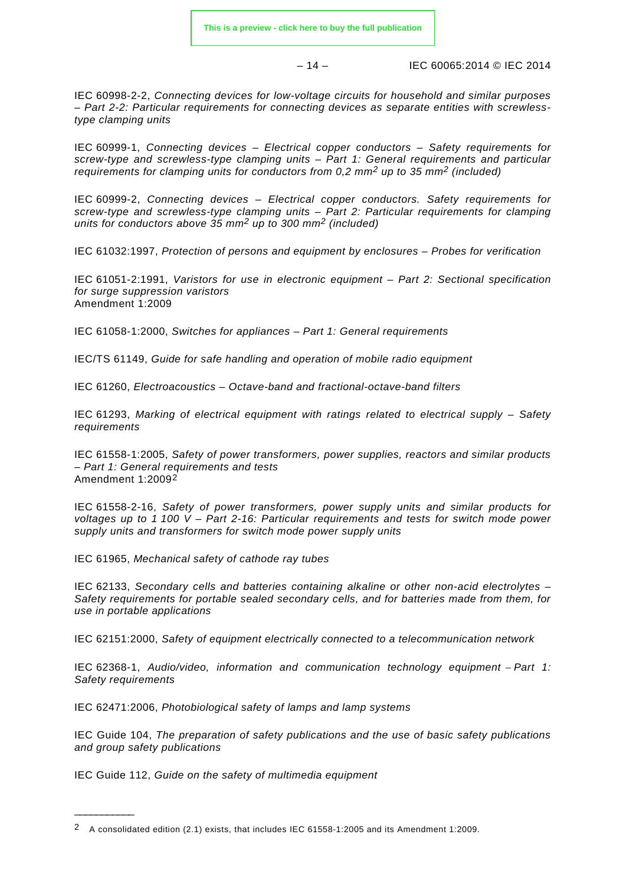– 14 – IEC 60065:2014 © IEC 2014

IEC 60998-2-2, *Connecting devices for low-voltage circuits for household and similar purposes – Part 2-2: Particular requirements for connecting devices as separate entities with screwlesstype clamping units*

IEC 60999-1, *Connecting devices – Electrical copper conductors – Safety requirements for screw-type and screwless-type clamping units – Part 1: General requirements and particular requirements for clamping units for conductors from 0,2 mm<sup>2</sup> up to 35 mm<sup>2</sup> (included)*

IEC 60999-2, *Connecting devices – Electrical copper conductors. Safety requirements for screw-type and screwless-type clamping units – Part 2: Particular requirements for clamping units for conductors above 35 mm<sup>2</sup> up to 300 mm<sup>2</sup> (included)*

IEC 61032:1997, *Protection of persons and equipment by enclosures – Probes for verification*

IEC 61051-2:1991, *Varistors for use in electronic equipment – Part 2: Sectional specification for surge suppression varistors*  Amendment 1:2009

IEC 61058-1:2000, *Switches for appliances – Part 1: General requirements*

IEC/TS 61149, *Guide for safe handling and operation of mobile radio equipment*

IEC 61260, *Electroacoustics – Octave-band and fractional-octave-band filters*

IEC 61293, *Marking of electrical equipment with ratings related to electrical supply – Safety requirements*

IEC 61558-1:2005, *Safety of power transformers, power supplies, reactors and similar products – Part 1: General requirements and tests* Amendment 1:2009[2](#page-13-0)

IEC 61558-2-16, *Safety of power transformers, power supply units and similar products for voltages up to 1 100 V – Part 2-16: Particular requirements and tests for switch mode power supply units and transformers for switch mode power supply units*

IEC 61965, *Mechanical safety of cathode ray tubes*

IEC 62133, *Secondary cells and batteries containing alkaline or other non-acid electrolytes – Safety requirements for portable sealed secondary cells, and for batteries made from them, for use in portable applications*

IEC 62151:2000, *Safety of equipment electrically connected to a telecommunication network*

IEC 62368-1, *Audio/video, information and communication technology equipment* <sup>−</sup> *Part 1: Safety requirements* 

IEC 62471:2006, *Photobiological safety of lamps and lamp systems*

IEC Guide 104, *The preparation of safety publications and the use of basic safety publications and group safety publications*

IEC Guide 112, *Guide on the safety of multimedia equipment*

 $\overline{\phantom{a}}$ 

<span id="page-13-0"></span><sup>2</sup> A consolidated edition (2.1) exists, that includes IEC 61558-1:2005 and its Amendment 1:2009.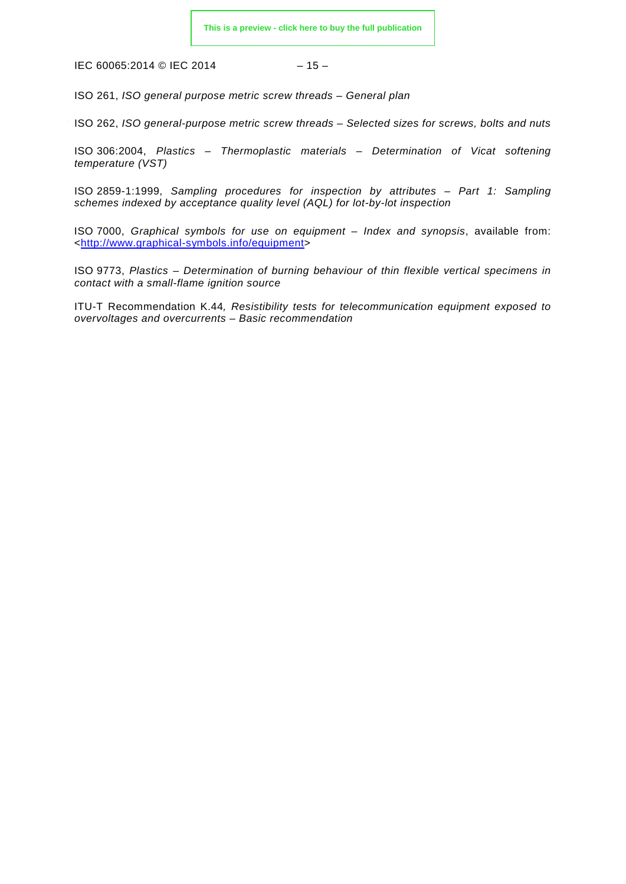IEC 60065:2014 © IEC 2014 – 15 –

ISO 261, *ISO general purpose metric screw threads – General plan*

ISO 262, *ISO general-purpose metric screw threads – Selected sizes for screws, bolts and nuts*

ISO 306:2004, *Plastics – Thermoplastic materials – Determination of Vicat softening temperature (VST)*

ISO 2859-1:1999, *Sampling procedures for inspection by attributes – Part 1: Sampling schemes indexed by acceptance quality level (AQL) for lot-by-lot inspection*

ISO 7000, *Graphical symbols for use on equipment – Index and synopsis*, available from: [<http://www.graphical-symbols.info/equipment>](http://www.graphical-symbols.info/equipment)

ISO 9773, *Plastics – Determination of burning behaviour of thin flexible vertical specimens in contact with a small-flame ignition source*

<span id="page-14-0"></span>ITU-T Recommendation K.44*, Resistibility tests for telecommunication equipment exposed to overvoltages and overcurrents – Basic recommendation*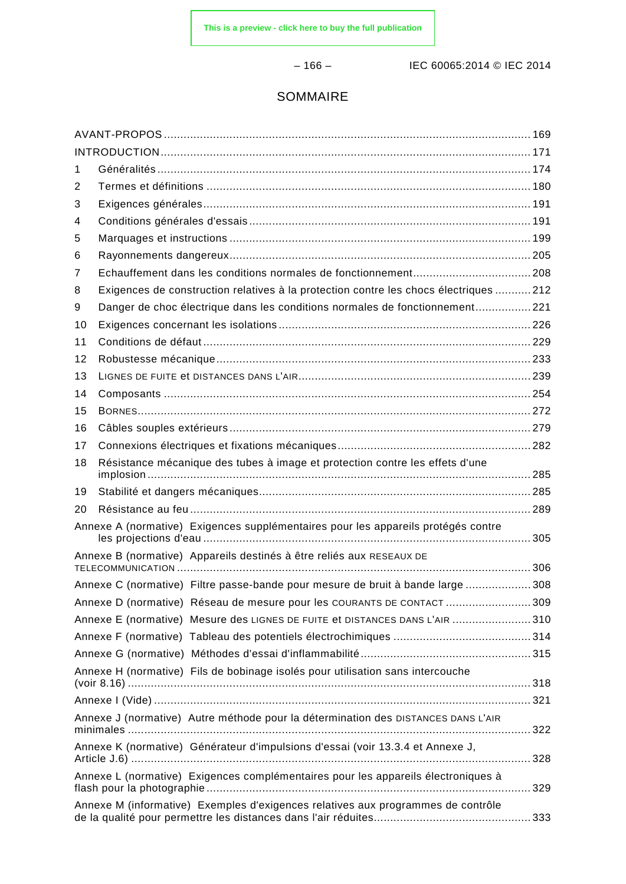– 166 – IEC 60065:2014 © IEC 2014

# SOMMAIRE

| 1        |                                                                                       |  |
|----------|---------------------------------------------------------------------------------------|--|
| 2        |                                                                                       |  |
| 3        |                                                                                       |  |
| 4        |                                                                                       |  |
| 5        |                                                                                       |  |
| 6        |                                                                                       |  |
| 7        |                                                                                       |  |
| 8        | Exigences de construction relatives à la protection contre les chocs électriques  212 |  |
| 9        | Danger de choc électrique dans les conditions normales de fonctionnement 221          |  |
| 10       |                                                                                       |  |
| 11       |                                                                                       |  |
| 12       |                                                                                       |  |
| 13       |                                                                                       |  |
| 14       |                                                                                       |  |
| 15       |                                                                                       |  |
| 16       |                                                                                       |  |
| 17       |                                                                                       |  |
| 18       | Résistance mécanique des tubes à image et protection contre les effets d'une          |  |
|          |                                                                                       |  |
|          |                                                                                       |  |
| 19<br>20 |                                                                                       |  |
|          | Annexe A (normative) Exigences supplémentaires pour les appareils protégés contre     |  |
|          |                                                                                       |  |
|          | Annexe B (normative) Appareils destinés à être reliés aux RESEAUX DE                  |  |
|          | Annexe C (normative) Filtre passe-bande pour mesure de bruit à bande large 308        |  |
|          | Annexe D (normative) Réseau de mesure pour les COURANTS DE CONTACT309                 |  |
|          | Annexe E (normative) Mesure des LIGNES DE FUITE et DISTANCES DANS L'AIR 310           |  |
|          |                                                                                       |  |
|          |                                                                                       |  |
|          | Annexe H (normative) Fils de bobinage isolés pour utilisation sans intercouche        |  |
|          |                                                                                       |  |
|          | Annexe J (normative) Autre méthode pour la détermination des DISTANCES DANS L'AIR     |  |
|          | Annexe K (normative) Générateur d'impulsions d'essai (voir 13.3.4 et Annexe J,        |  |
|          | Annexe L (normative) Exigences complémentaires pour les appareils électroniques à     |  |
|          | Annexe M (informative) Exemples d'exigences relatives aux programmes de contrôle      |  |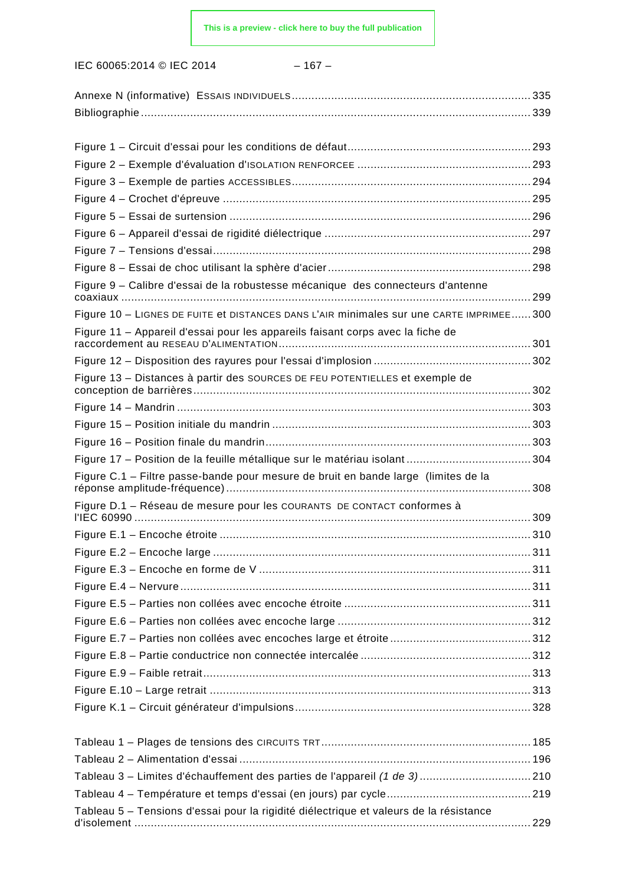IEC 60065:2014 © IEC 2014 - 167 -

| Figure 9 - Calibre d'essai de la robustesse mécanique des connecteurs d'antenne         |  |
|-----------------------------------------------------------------------------------------|--|
| Figure 10 - LIGNES DE FUITE et DISTANCES DANS L'AIR minimales sur une CARTE IMPRIMEE300 |  |
| Figure 11 - Appareil d'essai pour les appareils faisant corps avec la fiche de          |  |
|                                                                                         |  |
|                                                                                         |  |
| Figure 13 - Distances à partir des SOURCES DE FEU POTENTIELLES et exemple de            |  |
|                                                                                         |  |
|                                                                                         |  |
|                                                                                         |  |
|                                                                                         |  |
|                                                                                         |  |
| Figure C.1 - Filtre passe-bande pour mesure de bruit en bande large (limites de la      |  |
| Figure D.1 - Réseau de mesure pour les COURANTS DE CONTACT conformes à                  |  |
|                                                                                         |  |
|                                                                                         |  |
|                                                                                         |  |
|                                                                                         |  |
|                                                                                         |  |
|                                                                                         |  |
|                                                                                         |  |
|                                                                                         |  |
|                                                                                         |  |
|                                                                                         |  |
|                                                                                         |  |
|                                                                                         |  |
|                                                                                         |  |
|                                                                                         |  |
|                                                                                         |  |
|                                                                                         |  |
|                                                                                         |  |

Tableau 5 – Tensions d'essai pour la rigidité diélectrique et valeurs de la résistance

d'isolement ......................................................................................................................... 229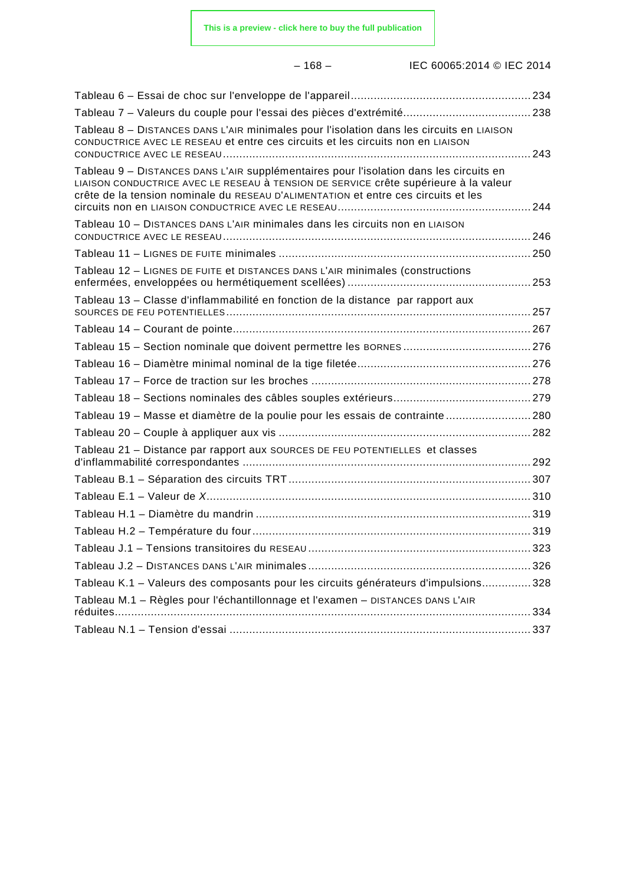– 168 – IEC 60065:2014 © IEC 2014

| Tableau 8 - DISTANCES DANS L'AIR minimales pour l'isolation dans les circuits en LIAISON<br>CONDUCTRICE AVEC LE RESEAU et entre ces circuits et les circuits non en LIAISON                                                                                          |  |
|----------------------------------------------------------------------------------------------------------------------------------------------------------------------------------------------------------------------------------------------------------------------|--|
| Tableau 9 - DISTANCES DANS L'AIR supplémentaires pour l'isolation dans les circuits en<br>LIAISON CONDUCTRICE AVEC LE RESEAU à TENSION DE SERVICE crête supérieure à la valeur<br>crête de la tension nominale du RESEAU D'ALIMENTATION et entre ces circuits et les |  |
| Tableau 10 - DISTANCES DANS L'AIR minimales dans les circuits non en LIAISON                                                                                                                                                                                         |  |
|                                                                                                                                                                                                                                                                      |  |
| Tableau 12 - LIGNES DE FUITE et DISTANCES DANS L'AIR minimales (constructions                                                                                                                                                                                        |  |
| Tableau 13 - Classe d'inflammabilité en fonction de la distance par rapport aux                                                                                                                                                                                      |  |
|                                                                                                                                                                                                                                                                      |  |
|                                                                                                                                                                                                                                                                      |  |
|                                                                                                                                                                                                                                                                      |  |
|                                                                                                                                                                                                                                                                      |  |
|                                                                                                                                                                                                                                                                      |  |
| Tableau 19 - Masse et diamètre de la poulie pour les essais de contrainte  280                                                                                                                                                                                       |  |
|                                                                                                                                                                                                                                                                      |  |
| Tableau 21 - Distance par rapport aux SOURCES DE FEU POTENTIELLES et classes                                                                                                                                                                                         |  |
|                                                                                                                                                                                                                                                                      |  |
|                                                                                                                                                                                                                                                                      |  |
|                                                                                                                                                                                                                                                                      |  |
|                                                                                                                                                                                                                                                                      |  |
|                                                                                                                                                                                                                                                                      |  |
|                                                                                                                                                                                                                                                                      |  |
| Tableau K.1 - Valeurs des composants pour les circuits générateurs d'impulsions 328                                                                                                                                                                                  |  |
| Tableau M.1 - Règles pour l'échantillonnage et l'examen - DISTANCES DANS L'AIR                                                                                                                                                                                       |  |
|                                                                                                                                                                                                                                                                      |  |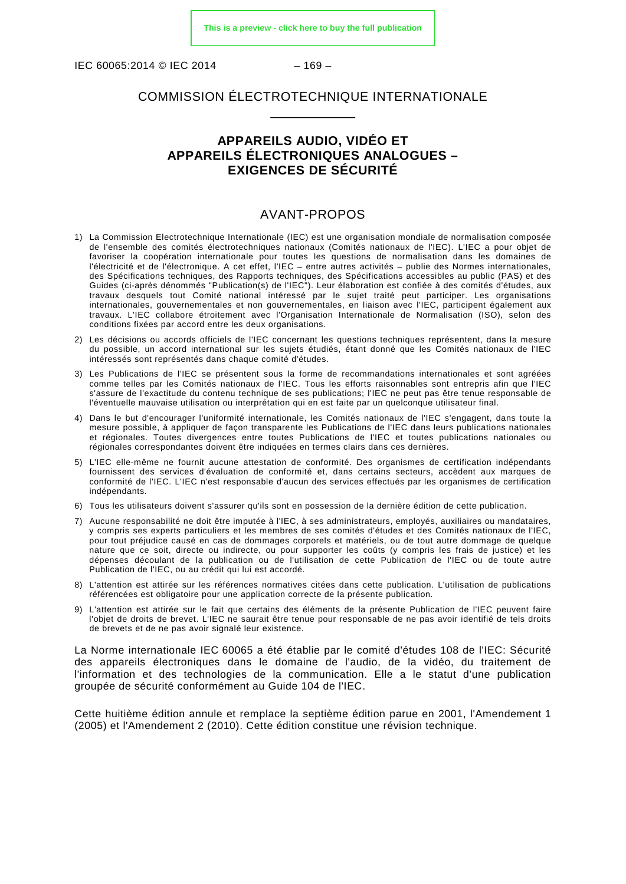IEC 60065:2014 © IEC 2014 – 169 –

# COMMISSION ÉLECTROTECHNIQUE INTERNATIONALE  $\overline{\phantom{a}}$  , where  $\overline{\phantom{a}}$

# **APPAREILS AUDIO, VIDÉO ET APPAREILS ÉLECTRONIQUES ANALOGUES – EXIGENCES DE SÉCURITÉ**

# AVANT-PROPOS

- <span id="page-18-0"></span>1) La Commission Electrotechnique Internationale (IEC) est une organisation mondiale de normalisation composée de l'ensemble des comités électrotechniques nationaux (Comités nationaux de l'IEC). L'IEC a pour objet de favoriser la coopération internationale pour toutes les questions de normalisation dans les domaines de l'électricité et de l'électronique. A cet effet, l'IEC – entre autres activités – publie des Normes internationales, des Spécifications techniques, des Rapports techniques, des Spécifications accessibles au public (PAS) et des Guides (ci-après dénommés "Publication(s) de l'IEC"). Leur élaboration est confiée à des comités d'études, aux travaux desquels tout Comité national intéressé par le sujet traité peut participer. Les organisations internationales, gouvernementales et non gouvernementales, en liaison avec l'IEC, participent également aux travaux. L'IEC collabore étroitement avec l'Organisation Internationale de Normalisation (ISO), selon des conditions fixées par accord entre les deux organisations.
- 2) Les décisions ou accords officiels de l'IEC concernant les questions techniques représentent, dans la mesure du possible, un accord international sur les sujets étudiés, étant donné que les Comités nationaux de l'IEC intéressés sont représentés dans chaque comité d'études.
- 3) Les Publications de l'IEC se présentent sous la forme de recommandations internationales et sont agréées comme telles par les Comités nationaux de l'IEC. Tous les efforts raisonnables sont entrepris afin que l'IEC s'assure de l'exactitude du contenu technique de ses publications; l'IEC ne peut pas être tenue responsable de l'éventuelle mauvaise utilisation ou interprétation qui en est faite par un quelconque utilisateur final.
- 4) Dans le but d'encourager l'uniformité internationale, les Comités nationaux de l'IEC s'engagent, dans toute la mesure possible, à appliquer de façon transparente les Publications de l'IEC dans leurs publications nationales et régionales. Toutes divergences entre toutes Publications de l'IEC et toutes publications nationales ou régionales correspondantes doivent être indiquées en termes clairs dans ces dernières.
- 5) L'IEC elle-même ne fournit aucune attestation de conformité. Des organismes de certification indépendants fournissent des services d'évaluation de conformité et, dans certains secteurs, accèdent aux marques de conformité de l'IEC. L'IEC n'est responsable d'aucun des services effectués par les organismes de certification indépendants.
- 6) Tous les utilisateurs doivent s'assurer qu'ils sont en possession de la dernière édition de cette publication.
- 7) Aucune responsabilité ne doit être imputée à l'IEC, à ses administrateurs, employés, auxiliaires ou mandataires, y compris ses experts particuliers et les membres de ses comités d'études et des Comités nationaux de l'IEC, pour tout préjudice causé en cas de dommages corporels et matériels, ou de tout autre dommage de quelque nature que ce soit, directe ou indirecte, ou pour supporter les coûts (y compris les frais de justice) et les dépenses découlant de la publication ou de l'utilisation de cette Publication de l'IEC ou de toute autre Publication de l'IEC, ou au crédit qui lui est accordé.
- 8) L'attention est attirée sur les références normatives citées dans cette publication. L'utilisation de publications référencées est obligatoire pour une application correcte de la présente publication.
- 9) L'attention est attirée sur le fait que certains des éléments de la présente Publication de l'IEC peuvent faire l'objet de droits de brevet. L'IEC ne saurait être tenue pour responsable de ne pas avoir identifié de tels droits de brevets et de ne pas avoir signalé leur existence.

La Norme internationale IEC 60065 a été établie par le comité d'études 108 de l'IEC: Sécurité des appareils électroniques dans le domaine de l'audio, de la vidéo, du traitement de l'information et des technologies de la communication. Elle a le statut d'une publication groupée de sécurité conformément au Guide 104 de l'IEC.

Cette huitième édition annule et remplace la septième édition parue en 2001, l'Amendement 1 (2005) et l'Amendement 2 (2010). Cette édition constitue une révision technique.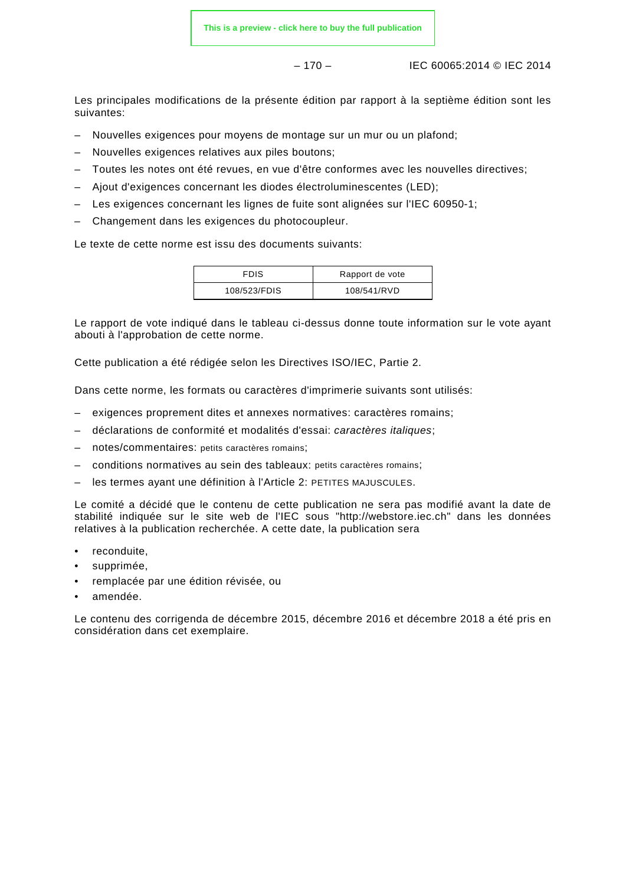– 170 – IEC 60065:2014 © IEC 2014

Les principales modifications de la présente édition par rapport à la septième édition sont les suivantes:

- Nouvelles exigences pour moyens de montage sur un mur ou un plafond;
- Nouvelles exigences relatives aux piles boutons;
- Toutes les notes ont été revues, en vue d'être conformes avec les nouvelles directives;
- Ajout d'exigences concernant les diodes électroluminescentes (LED);
- Les exigences concernant les lignes de fuite sont alignées sur l'IEC 60950-1;
- Changement dans les exigences du photocoupleur.

Le texte de cette norme est issu des documents suivants:

| <b>FDIS</b>  | Rapport de vote |
|--------------|-----------------|
| 108/523/FDIS | 108/541/RVD     |

Le rapport de vote indiqué dans le tableau ci-dessus donne toute information sur le vote ayant abouti à l'approbation de cette norme.

Cette publication a été rédigée selon les Directives ISO/IEC, Partie 2.

Dans cette norme, les formats ou caractères d'imprimerie suivants sont utilisés:

- exigences proprement dites et annexes normatives: caractères romains;
- déclarations de conformité et modalités d'essai: *caractères italiques*;
- notes/commentaires: petits caractères romains;
- conditions normatives au sein des tableaux: petits caractères romains;
- les termes ayant une définition à l'Article 2: PETITES MAJUSCULES.

Le comité a décidé que le contenu de cette publication ne sera pas modifié avant la date de stabilité indiquée sur le site web de l'IEC sous "http://webstore.iec.ch" dans les données relatives à la publication recherchée. A cette date, la publication sera

- reconduite,
- supprimée,
- remplacée par une édition révisée, ou
- amendée.

Le contenu des corrigenda de décembre 2015, décembre 2016 et décembre 2018 a été pris en considération dans cet exemplaire.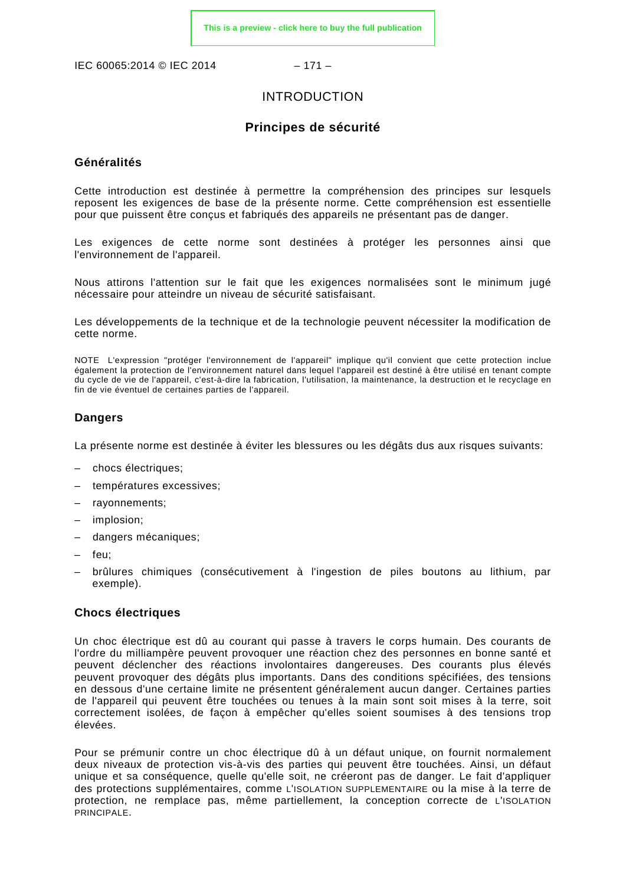<span id="page-20-0"></span>IEC 60065:2014 © IEC 2014 – 171 –

# INTRODUCTION

# **Principes de sécurité**

## **Généralités**

Cette introduction est destinée à permettre la compréhension des principes sur lesquels reposent les exigences de base de la présente norme. Cette compréhension est essentielle pour que puissent être conçus et fabriqués des appareils ne présentant pas de danger.

Les exigences de cette norme sont destinées à protéger les personnes ainsi que l'environnement de l'appareil.

Nous attirons l'attention sur le fait que les exigences normalisées sont le minimum jugé nécessaire pour atteindre un niveau de sécurité satisfaisant.

Les développements de la technique et de la technologie peuvent nécessiter la modification de cette norme.

NOTE L'expression "protéger l'environnement de l'appareil" implique qu'il convient que cette protection inclue également la protection de l'environnement naturel dans lequel l'appareil est destiné à être utilisé en tenant compte du cycle de vie de l'appareil, c'est-à-dire la fabrication, l'utilisation, la maintenance, la destruction et le recyclage en fin de vie éventuel de certaines parties de l'appareil.

# **Dangers**

La présente norme est destinée à éviter les blessures ou les dégâts dus aux risques suivants:

- chocs électriques;
- températures excessives;
- rayonnements;
- implosion;
- dangers mécaniques;
- feu;
- brûlures chimiques (consécutivement à l'ingestion de piles boutons au lithium, par exemple).

#### **Chocs électriques**

Un choc électrique est dû au courant qui passe à travers le corps humain. Des courants de l'ordre du milliampère peuvent provoquer une réaction chez des personnes en bonne santé et peuvent déclencher des réactions involontaires dangereuses. Des courants plus élevés peuvent provoquer des dégâts plus importants. Dans des conditions spécifiées, des tensions en dessous d'une certaine limite ne présentent généralement aucun danger. Certaines parties de l'appareil qui peuvent être touchées ou tenues à la main sont soit mises à la terre, soit correctement isolées, de façon à empêcher qu'elles soient soumises à des tensions trop élevées.

Pour se prémunir contre un choc électrique dû à un défaut unique, on fournit normalement deux niveaux de protection vis-à-vis des parties qui peuvent être touchées. Ainsi, un défaut unique et sa conséquence, quelle qu'elle soit, ne créeront pas de danger. Le fait d'appliquer des protections supplémentaires, comme L'ISOLATION SUPPLEMENTAIRE ou la mise à la terre de protection, ne remplace pas, même partiellement, la conception correcte de L'ISOLATION PRINCIPALE.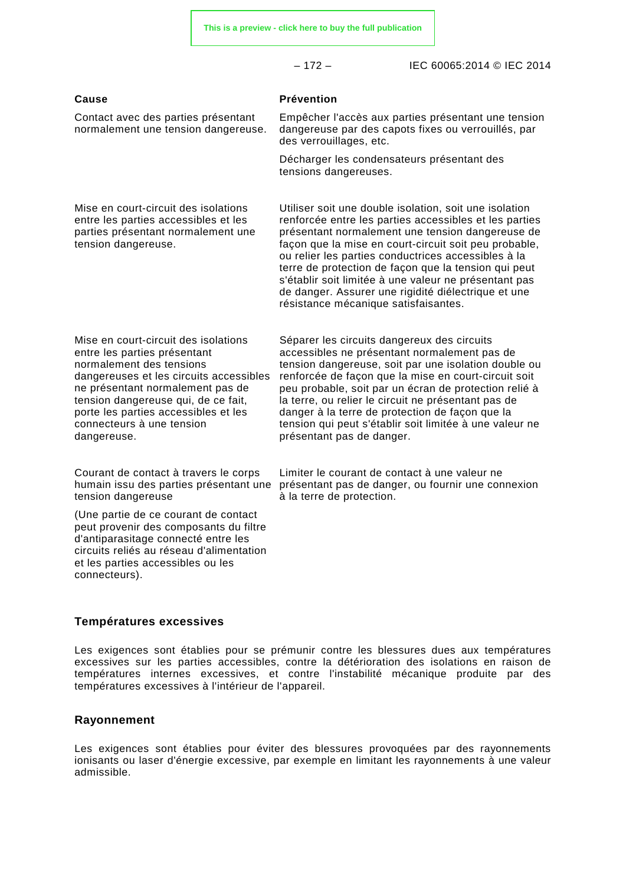**[This is a preview - click here to buy the full publication](https://webstore.iec.ch/publication/494&preview)**

– 172 – IEC 60065:2014 © IEC 2014

| <b>Cause</b>                                                                                                                                                                                                                                                                                               | <b>Prévention</b>                                                                                                                                                                                                                                                                                                                                                                                                                                                                                    |
|------------------------------------------------------------------------------------------------------------------------------------------------------------------------------------------------------------------------------------------------------------------------------------------------------------|------------------------------------------------------------------------------------------------------------------------------------------------------------------------------------------------------------------------------------------------------------------------------------------------------------------------------------------------------------------------------------------------------------------------------------------------------------------------------------------------------|
| Contact avec des parties présentant<br>normalement une tension dangereuse.                                                                                                                                                                                                                                 | Empêcher l'accès aux parties présentant une tension<br>dangereuse par des capots fixes ou verrouillés, par<br>des verrouillages, etc.                                                                                                                                                                                                                                                                                                                                                                |
|                                                                                                                                                                                                                                                                                                            | Décharger les condensateurs présentant des<br>tensions dangereuses.                                                                                                                                                                                                                                                                                                                                                                                                                                  |
| Mise en court-circuit des isolations<br>entre les parties accessibles et les<br>parties présentant normalement une<br>tension dangereuse.                                                                                                                                                                  | Utiliser soit une double isolation, soit une isolation<br>renforcée entre les parties accessibles et les parties<br>présentant normalement une tension dangereuse de<br>façon que la mise en court-circuit soit peu probable,<br>ou relier les parties conductrices accessibles à la<br>terre de protection de façon que la tension qui peut<br>s'établir soit limitée à une valeur ne présentant pas<br>de danger. Assurer une rigidité diélectrique et une<br>résistance mécanique satisfaisantes. |
| Mise en court-circuit des isolations<br>entre les parties présentant<br>normalement des tensions<br>dangereuses et les circuits accessibles<br>ne présentant normalement pas de<br>tension dangereuse qui, de ce fait,<br>porte les parties accessibles et les<br>connecteurs à une tension<br>dangereuse. | Séparer les circuits dangereux des circuits<br>accessibles ne présentant normalement pas de<br>tension dangereuse, soit par une isolation double ou<br>renforcée de façon que la mise en court-circuit soit<br>peu probable, soit par un écran de protection relié à<br>la terre, ou relier le circuit ne présentant pas de<br>danger à la terre de protection de façon que la<br>tension qui peut s'établir soit limitée à une valeur ne<br>présentant pas de danger.                               |
| Courant de contact à travers le corps<br>humain issu des parties présentant une<br>tension dangereuse                                                                                                                                                                                                      | Limiter le courant de contact à une valeur ne<br>présentant pas de danger, ou fournir une connexion<br>à la terre de protection.                                                                                                                                                                                                                                                                                                                                                                     |
| (Une partie de ce courant de contact<br>peut provenir des composants du filtre<br>d'antiparasitage connecté entre les<br>circuits reliés au réseau d'alimentation<br>et les parties accessibles ou les<br>connecteurs).                                                                                    |                                                                                                                                                                                                                                                                                                                                                                                                                                                                                                      |

# **Températures excessives**

Les exigences sont établies pour se prémunir contre les blessures dues aux températures excessives sur les parties accessibles, contre la détérioration des isolations en raison de températures internes excessives, et contre l'instabilité mécanique produite par des températures excessives à l'intérieur de l'appareil.

# **Rayonnement**

Les exigences sont établies pour éviter des blessures provoquées par des rayonnements ionisants ou laser d'énergie excessive, par exemple en limitant les rayonnements à une valeur admissible.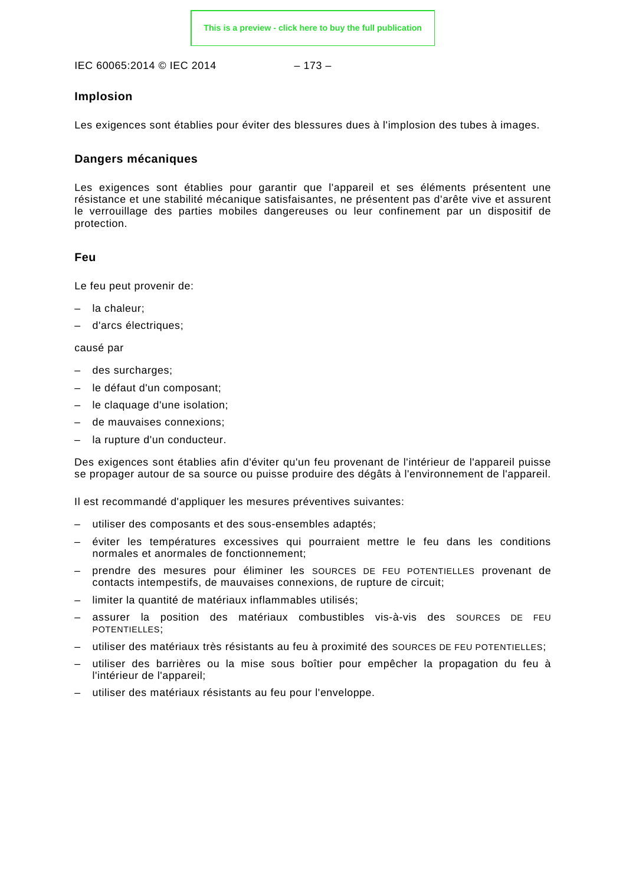IEC 60065:2014 © IEC 2014 – 173 –

# **Implosion**

Les exigences sont établies pour éviter des blessures dues à l'implosion des tubes à images.

# **Dangers mécaniques**

Les exigences sont établies pour garantir que l'appareil et ses éléments présentent une résistance et une stabilité mécanique satisfaisantes, ne présentent pas d'arête vive et assurent le verrouillage des parties mobiles dangereuses ou leur confinement par un dispositif de protection.

# **Feu**

Le feu peut provenir de:

- la chaleur;
- d'arcs électriques;

#### causé par

- des surcharges;
- le défaut d'un composant;
- le claquage d'une isolation;
- de mauvaises connexions;
- la rupture d'un conducteur.

Des exigences sont établies afin d'éviter qu'un feu provenant de l'intérieur de l'appareil puisse se propager autour de sa source ou puisse produire des dégâts à l'environnement de l'appareil.

Il est recommandé d'appliquer les mesures préventives suivantes:

- utiliser des composants et des sous-ensembles adaptés;
- éviter les températures excessives qui pourraient mettre le feu dans les conditions normales et anormales de fonctionnement;
- prendre des mesures pour éliminer les SOURCES DE FEU POTENTIELLES provenant de contacts intempestifs, de mauvaises connexions, de rupture de circuit;
- limiter la quantité de matériaux inflammables utilisés;
- assurer la position des matériaux combustibles vis-à-vis des SOURCES DE FEU POTENTIELLES;
- utiliser des matériaux très résistants au feu à proximité des SOURCES DE FEU POTENTIELLES;
- utiliser des barrières ou la mise sous boîtier pour empêcher la propagation du feu à l'intérieur de l'appareil;
- utiliser des matériaux résistants au feu pour l'enveloppe.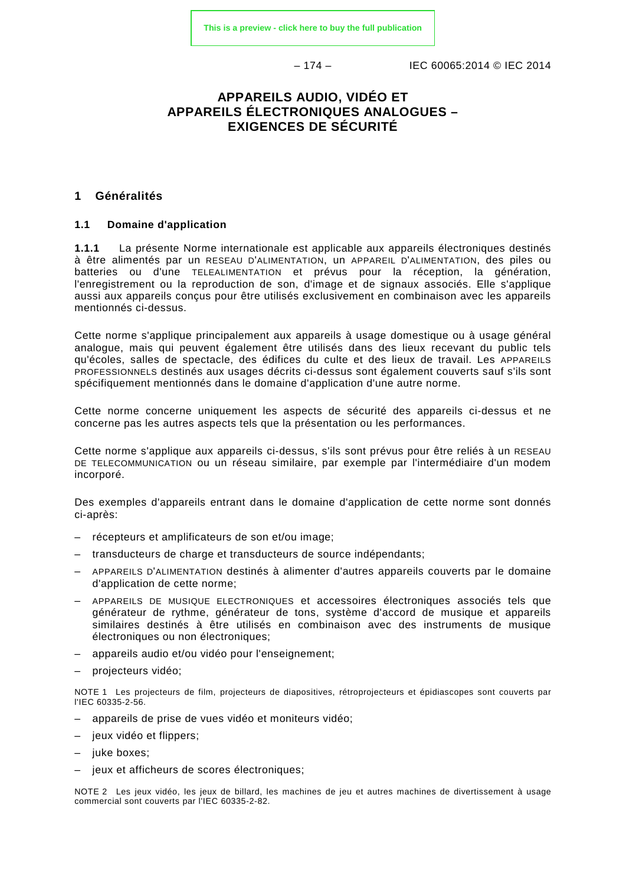– 174 – IEC 60065:2014 © IEC 2014

# **APPAREILS AUDIO, VIDÉO ET APPAREILS ÉLECTRONIQUES ANALOGUES – EXIGENCES DE SÉCURITÉ**

### <span id="page-23-0"></span>**1 Généralités**

## **1.1 Domaine d'application**

**1.1.1** La présente Norme internationale est applicable aux appareils électroniques destinés à être alimentés par un RESEAU D'ALIMENTATION, un APPAREIL D'ALIMENTATION, des piles ou batteries ou d'une TELEALIMENTATION et prévus pour la réception, la génération, l'enregistrement ou la reproduction de son, d'image et de signaux associés. Elle s'applique aussi aux appareils conçus pour être utilisés exclusivement en combinaison avec les appareils mentionnés ci-dessus.

Cette norme s'applique principalement aux appareils à usage domestique ou à usage général analogue, mais qui peuvent également être utilisés dans des lieux recevant du public tels qu'écoles, salles de spectacle, des édifices du culte et des lieux de travail. Les APPAREILS PROFESSIONNELS destinés aux usages décrits ci-dessus sont également couverts sauf s'ils sont spécifiquement mentionnés dans le domaine d'application d'une autre norme.

Cette norme concerne uniquement les aspects de sécurité des appareils ci-dessus et ne concerne pas les autres aspects tels que la présentation ou les performances.

Cette norme s'applique aux appareils ci-dessus, s'ils sont prévus pour être reliés à un RESEAU DE TELECOMMUNICATION ou un réseau similaire, par exemple par l'intermédiaire d'un modem incorporé.

Des exemples d'appareils entrant dans le domaine d'application de cette norme sont donnés ci-après:

- récepteurs et amplificateurs de son et/ou image;
- transducteurs de charge et transducteurs de source indépendants;
- APPAREILS D'ALIMENTATION destinés à alimenter d'autres appareils couverts par le domaine d'application de cette norme;
- APPAREILS DE MUSIQUE ELECTRONIQUES et accessoires électroniques associés tels que générateur de rythme, générateur de tons, système d'accord de musique et appareils similaires destinés à être utilisés en combinaison avec des instruments de musique électroniques ou non électroniques;
- appareils audio et/ou vidéo pour l'enseignement;
- projecteurs vidéo;

NOTE 1 Les projecteurs de film, projecteurs de diapositives, rétroprojecteurs et épidiascopes sont couverts par l'IEC 60335-2-56.

- appareils de prise de vues vidéo et moniteurs vidéo;
- jeux vidéo et flippers;
- juke boxes;
- jeux et afficheurs de scores électroniques;

NOTE 2 Les jeux vidéo, les jeux de billard, les machines de jeu et autres machines de divertissement à usage commercial sont couverts par l'IEC 60335-2-82.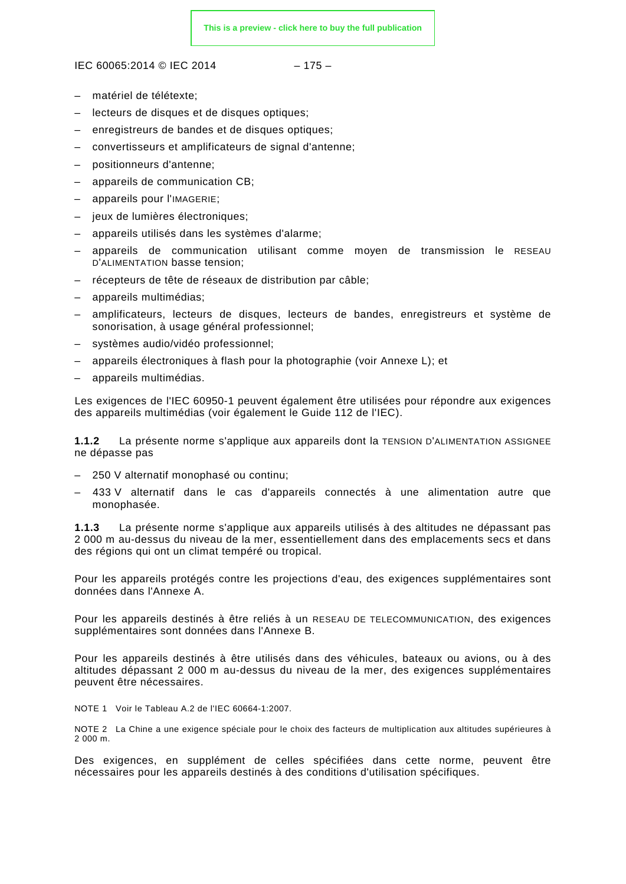IEC 60065:2014 © IEC 2014 – 175 –

- matériel de télétexte;
- lecteurs de disques et de disques optiques;
- enregistreurs de bandes et de disques optiques;
- convertisseurs et amplificateurs de signal d'antenne;
- positionneurs d'antenne;
- appareils de communication CB;
- appareils pour l'IMAGERIE;
- jeux de lumières électroniques;
- appareils utilisés dans les systèmes d'alarme;
- appareils de communication utilisant comme moyen de transmission le RESEAU D'ALIMENTATION basse tension;
- récepteurs de tête de réseaux de distribution par câble;
- appareils multimédias;
- amplificateurs, lecteurs de disques, lecteurs de bandes, enregistreurs et système de sonorisation, à usage général professionnel;
- systèmes audio/vidéo professionnel;
- appareils électroniques à flash pour la photographie (voir Annexe L); et
- appareils multimédias.

Les exigences de l'IEC 60950-1 peuvent également être utilisées pour répondre aux exigences des appareils multimédias (voir également le Guide 112 de l'IEC).

**1.1.2** La présente norme s'applique aux appareils dont la TENSION D'ALIMENTATION ASSIGNEE ne dépasse pas

- 250 V alternatif monophasé ou continu;
- 433 V alternatif dans le cas d'appareils connectés à une alimentation autre que monophasée.

**1.1.3** La présente norme s'applique aux appareils utilisés à des altitudes ne dépassant pas 2 000 m au-dessus du niveau de la mer, essentiellement dans des emplacements secs et dans des régions qui ont un climat tempéré ou tropical.

Pour les appareils protégés contre les projections d'eau, des exigences supplémentaires sont données dans l'Annexe A.

Pour les appareils destinés à être reliés à un RESEAU DE TELECOMMUNICATION, des exigences supplémentaires sont données dans l'Annexe B.

Pour les appareils destinés à être utilisés dans des véhicules, bateaux ou avions, ou à des altitudes dépassant 2 000 m au-dessus du niveau de la mer, des exigences supplémentaires peuvent être nécessaires.

NOTE 1 Voir le Tableau A.2 de l'IEC 60664-1:2007.

NOTE 2 La Chine a une exigence spéciale pour le choix des facteurs de multiplication aux altitudes supérieures à 2 000 m.

Des exigences, en supplément de celles spécifiées dans cette norme, peuvent être nécessaires pour les appareils destinés à des conditions d'utilisation spécifiques.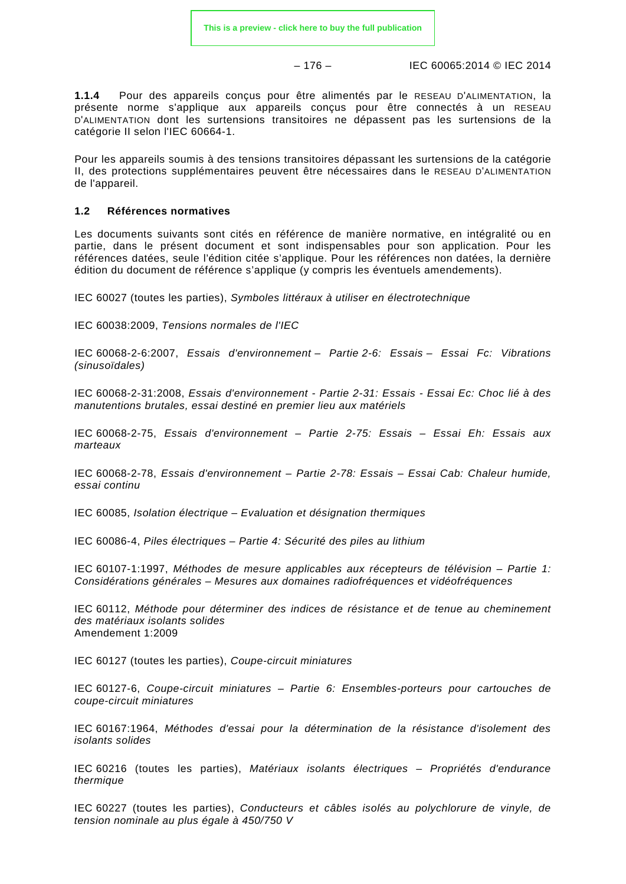– 176 – IEC 60065:2014 © IEC 2014

**1.1.4** Pour des appareils conçus pour être alimentés par le RESEAU D'ALIMENTATION, la présente norme s'applique aux appareils conçus pour être connectés à un RESEAU D'ALIMENTATION dont les surtensions transitoires ne dépassent pas les surtensions de la catégorie II selon l'IEC 60664-1.

Pour les appareils soumis à des tensions transitoires dépassant les surtensions de la catégorie II, des protections supplémentaires peuvent être nécessaires dans le RESEAU D'ALIMENTATION de l'appareil.

#### **1.2 Références normatives**

Les documents suivants sont cités en référence de manière normative, en intégralité ou en partie, dans le présent document et sont indispensables pour son application. Pour les références datées, seule l'édition citée s'applique. Pour les références non datées, la dernière édition du document de référence s'applique (y compris les éventuels amendements).

IEC 60027 (toutes les parties), *Symboles littéraux à utiliser en électrotechnique*

IEC 60038:2009, *Tensions normales de l'IEC* 

IEC 60068-2-6:2007, *Essais d'environnement – Partie 2-6: Essais – Essai Fc: Vibrations (sinusoïdales)*

IEC 60068-2-31:2008, *Essais d'environnement - Partie 2-31: Essais - Essai Ec: Choc lié à des manutentions brutales, essai destiné en premier lieu aux matériels*

IEC 60068-2-75, *Essais d'environnement – Partie 2-75: Essais – Essai Eh: Essais aux marteaux* 

IEC 60068-2-78, *Essais d'environnement – Partie 2-78: Essais – Essai Cab: Chaleur humide, essai continu*

IEC 60085, *Isolation électrique – Evaluation et désignation thermiques*

IEC 60086-4, *Piles électriques – Partie 4: Sécurité des piles au lithium*

IEC 60107-1:1997, *Méthodes de mesure applicables aux récepteurs de télévision – Partie 1: Considérations générales – Mesures aux domaines radiofréquences et vidéofréquences*

IEC 60112, *Méthode pour déterminer des indices de résistance et de tenue au cheminement des matériaux isolants solides* Amendement 1:2009

IEC 60127 (toutes les parties), *Coupe-circuit miniatures*

IEC 60127-6, *Coupe-circuit miniatures – Partie 6: Ensembles-porteurs pour cartouches de coupe-circuit miniatures*

IEC 60167:1964, *Méthodes d'essai pour la détermination de la résistance d'isolement des isolants solides*

IEC 60216 (toutes les parties), *Matériaux isolants électriques – Propriétés d'endurance thermique*

IEC 60227 (toutes les parties), *Conducteurs et câbles isolés au polychlorure de vinyle, de tension nominale au plus égale à 450/750 V*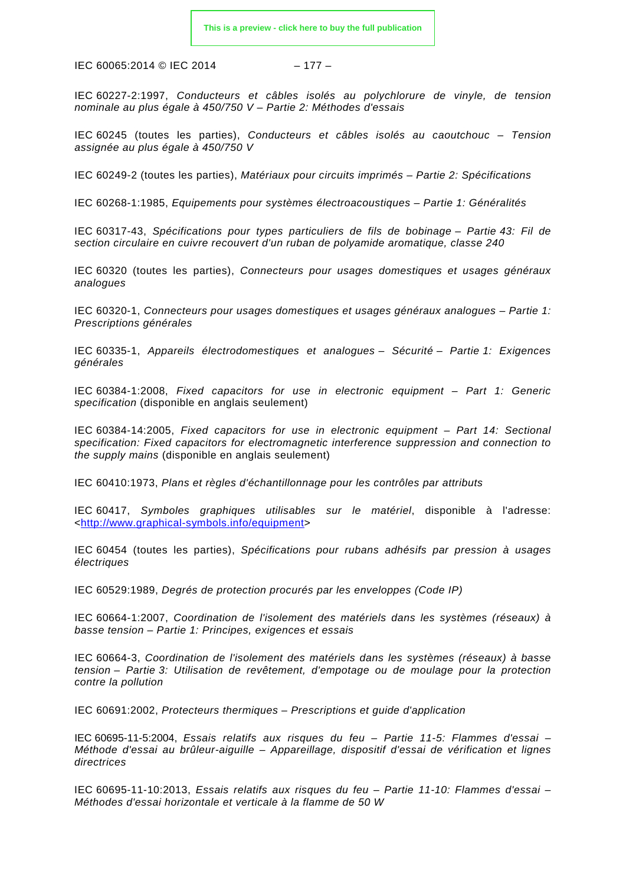IEC 60065:2014 © IEC 2014

$$
-177-
$$

IEC 60227-2:1997, *Conducteurs et câbles isolés au polychlorure de vinyle, de tension nominale au plus égale à 450/750 V – Partie 2: Méthodes d'essais*

IEC 60245 (toutes les parties), *Conducteurs et câbles isolés au caoutchouc – Tension assignée au plus égale à 450/750 V* 

IEC 60249-2 (toutes les parties), *Matériaux pour circuits imprimés – Partie 2: Spécifications*

IEC 60268-1:1985, *Equipements pour systèmes électroacoustiques – Partie 1: Généralités*

IEC 60317-43, *Spécifications pour types particuliers de fils de bobinage – Partie 43: Fil de section circulaire en cuivre recouvert d'un ruban de polyamide aromatique, classe 240*

IEC 60320 (toutes les parties), *Connecteurs pour usages domestiques et usages généraux analogues*

IEC 60320-1, *Connecteurs pour usages domestiques et usages généraux analogues – Partie 1: Prescriptions générales*

IEC 60335-1, *Appareils électrodomestiques et analogues – Sécurité – Partie 1: Exigences générales*

IEC 60384-1:2008, *Fixed capacitors for use in electronic equipment – Part 1: Generic specification* (disponible en anglais seulement)

IEC 60384-14:2005, *Fixed capacitors for use in electronic equipment – Part 14: Sectional specification: Fixed capacitors for electromagnetic interference suppression and connection to the supply mains* (disponible en anglais seulement)

IEC 60410:1973, *Plans et règles d'échantillonnage pour les contrôles par attributs*

IEC 60417, *Symboles graphiques utilisables sur le matériel*, disponible à l'adresse: [<http://www.graphical-symbols.info/equipment>](http://www.graphical-symbols.info/equipment)

IEC 60454 (toutes les parties), *Spécifications pour rubans adhésifs par pression à usages électriques*

IEC 60529:1989, *Degrés de protection procurés par les enveloppes (Code IP)* 

IEC 60664-1:2007, *Coordination de l'isolement des matériels dans les systèmes (réseaux) à basse tension – Partie 1: Principes, exigences et essais*

IEC 60664-3, *Coordination de l'isolement des matériels dans les systèmes (réseaux) à basse tension – Partie 3: Utilisation de revêtement, d'empotage ou de moulage pour la protection contre la pollution*

IEC 60691:2002, *Protecteurs thermiques – Prescriptions et guide d'application*

IEC 60695-11-5:2004, *Essais relatifs aux risques du feu – Partie 11-5: Flammes d'essai – Méthode d'essai au brûleur-aiguille – Appareillage, dispositif d'essai de vérification et lignes directrices*

IEC 60695-11-10:2013, *Essais relatifs aux risques du feu – Partie 11-10: Flammes d'essai – Méthodes d'essai horizontale et verticale à la flamme de 50 W*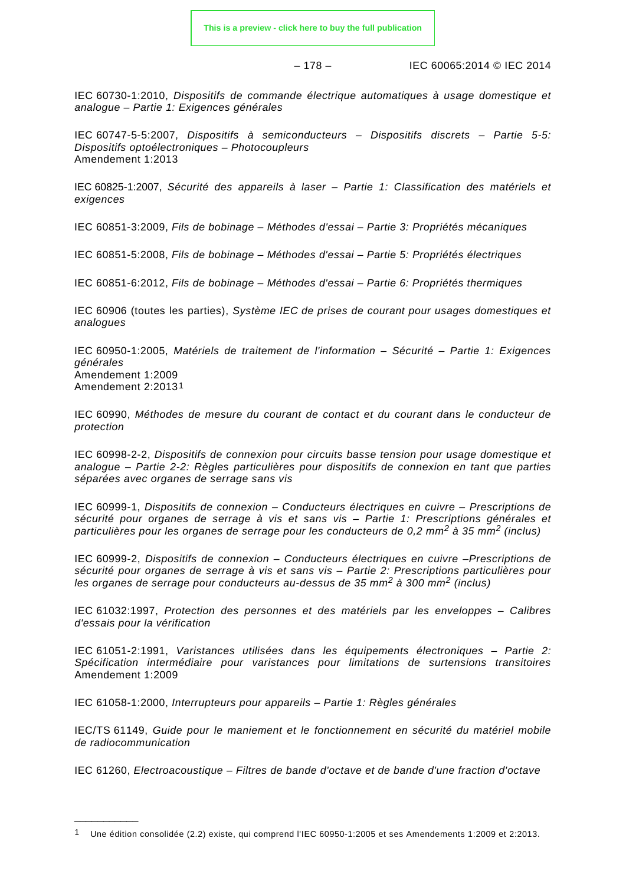– 178 – IEC 60065:2014 © IEC 2014

IEC 60730-1:2010, *Dispositifs de commande électrique automatiques à usage domestique et analogue – Partie 1: Exigences générales*

IEC 60747-5-5:2007, *Dispositifs à semiconducteurs – Dispositifs discrets – Partie 5-5: Dispositifs optoélectroniques – Photocoupleurs* Amendement 1:2013

IEC 60825-1:2007, *Sécurité des appareils à laser – Partie 1: Classification des matériels et exigences*

IEC 60851-3:2009, *Fils de bobinage – Méthodes d'essai – Partie 3: Propriétés mécaniques*

IEC 60851-5:2008, *Fils de bobinage – Méthodes d'essai – Partie 5: Propriétés électriques*

IEC 60851-6:2012, *Fils de bobinage – Méthodes d'essai – Partie 6: Propriétés thermiques*

IEC 60906 (toutes les parties), *Système IEC de prises de courant pour usages domestiques et analogues*

IEC 60950-1:2005, *Matériels de traitement de l'information – Sécurité – Partie 1: Exigences générales* Amendement 1:2009 Amendement 2:2013[1](#page-27-0)

IEC 60990, *Méthodes de mesure du courant de contact et du courant dans le conducteur de protection*

IEC 60998-2-2, *Dispositifs de connexion pour circuits basse tension pour usage domestique et analogue – Partie 2-2: Règles particulières pour dispositifs de connexion en tant que parties séparées avec organes de serrage sans vis*

IEC 60999-1, *Dispositifs de connexion – Conducteurs électriques en cuivre – Prescriptions de sécurité pour organes de serrage à vis et sans vis – Partie 1: Prescriptions générales et particulières pour les organes de serrage pour les conducteurs de 0,2 mm2 à 35 mm<sup>2</sup> (inclus)*

IEC 60999-2, *Dispositifs de connexion – Conducteurs électriques en cuivre –Prescriptions de sécurité pour organes de serrage à vis et sans vis – Partie 2: Prescriptions particulières pour les organes de serrage pour conducteurs au-dessus de 35 mm<sup>2</sup> à 300 mm<sup>2</sup> (inclus)*

IEC 61032:1997, *Protection des personnes et des matériels par les enveloppes – Calibres d'essais pour la vérification*

IEC 61051-2:1991, *Varistances utilisées dans les équipements électroniques – Partie 2: Spécification intermédiaire pour varistances pour limitations de surtensions transitoires* Amendement 1:2009

IEC 61058-1:2000, *Interrupteurs pour appareils – Partie 1: Règles générales*

 $\overline{\phantom{a}}$ 

IEC/TS 61149, *Guide pour le maniement et le fonctionnement en sécurité du matériel mobile de radiocommunication*

IEC 61260, *Electroacoustique – Filtres de bande d'octave et de bande d'une fraction d'octave*

<span id="page-27-0"></span><sup>1</sup> Une édition consolidée (2.2) existe, qui comprend l'IEC 60950-1:2005 et ses Amendements 1:2009 et 2:2013.